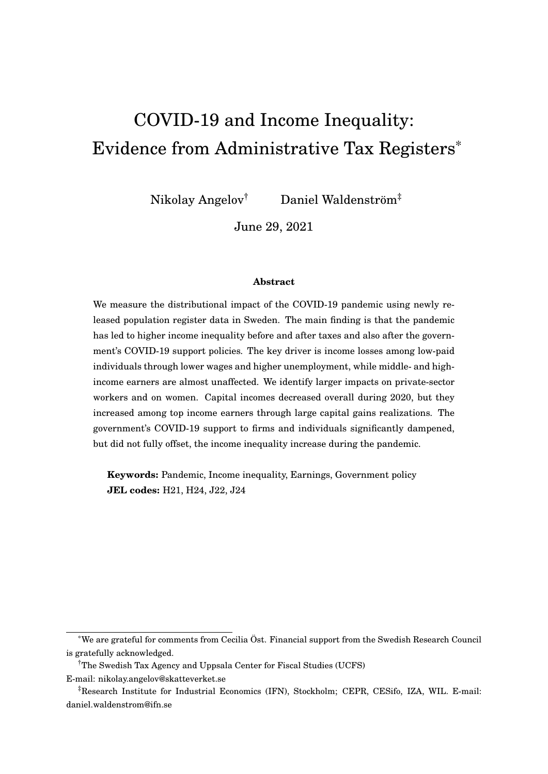# <span id="page-0-0"></span>COVID-19 and Income Inequality: Evidence from Administrative Tax Registers\*

Nikolay Angelov† Daniel Waldenström‡

June 29, 2021

#### **Abstract**

We measure the distributional impact of the COVID-19 pandemic using newly released population register data in Sweden. The main finding is that the pandemic has led to higher income inequality before and after taxes and also after the government's COVID-19 support policies. The key driver is income losses among low-paid individuals through lower wages and higher unemployment, while middle- and highincome earners are almost unaffected. We identify larger impacts on private-sector workers and on women. Capital incomes decreased overall during 2020, but they increased among top income earners through large capital gains realizations. The government's COVID-19 support to firms and individuals significantly dampened, but did not fully offset, the income inequality increase during the pandemic.

**Keywords:** Pandemic, Income inequality, Earnings, Government policy **JEL codes:** H21, H24, J22, J24

<sup>\*</sup>We are grateful for comments from Cecilia Öst. Financial support from the Swedish Research Council is gratefully acknowledged.

<sup>†</sup>The Swedish Tax Agency and Uppsala Center for Fiscal Studies (UCFS)

E-mail: nikolay.angelov@skatteverket.se

<sup>‡</sup>Research Institute for Industrial Economics (IFN), Stockholm; CEPR, CESifo, IZA, WIL. E-mail: daniel.waldenstrom@ifn.se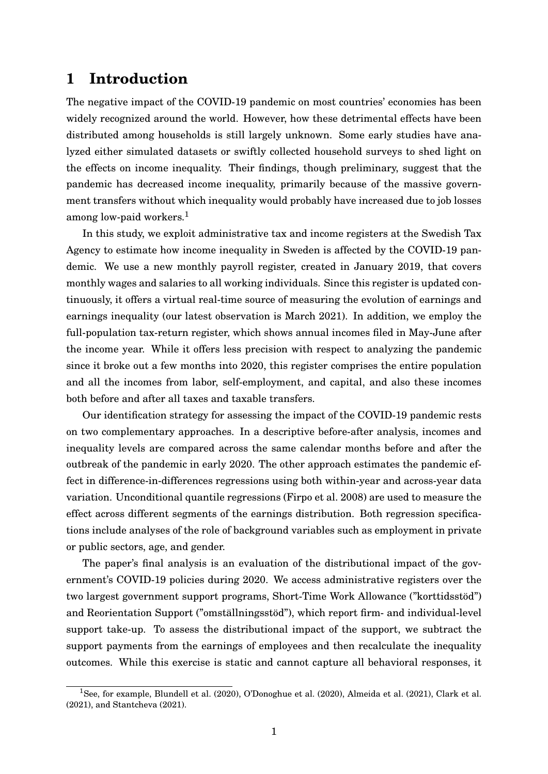## **1 Introduction**

The negative impact of the COVID-19 pandemic on most countries' economies has been widely recognized around the world. However, how these detrimental effects have been distributed among households is still largely unknown. Some early studies have analyzed either simulated datasets or swiftly collected household surveys to shed light on the effects on income inequality. Their findings, though preliminary, suggest that the pandemic has decreased income inequality, primarily because of the massive government transfers without which inequality would probably have increased due to job losses among low-paid workers.<sup>[1](#page-0-0)</sup>

In this study, we exploit administrative tax and income registers at the Swedish Tax Agency to estimate how income inequality in Sweden is affected by the COVID-19 pandemic. We use a new monthly payroll register, created in January 2019, that covers monthly wages and salaries to all working individuals. Since this register is updated continuously, it offers a virtual real-time source of measuring the evolution of earnings and earnings inequality (our latest observation is March 2021). In addition, we employ the full-population tax-return register, which shows annual incomes filed in May-June after the income year. While it offers less precision with respect to analyzing the pandemic since it broke out a few months into 2020, this register comprises the entire population and all the incomes from labor, self-employment, and capital, and also these incomes both before and after all taxes and taxable transfers.

Our identification strategy for assessing the impact of the COVID-19 pandemic rests on two complementary approaches. In a descriptive before-after analysis, incomes and inequality levels are compared across the same calendar months before and after the outbreak of the pandemic in early 2020. The other approach estimates the pandemic effect in difference-in-differences regressions using both within-year and across-year data variation. Unconditional quantile regressions [\(Firpo et al. 2008\)](#page-31-0) are used to measure the effect across different segments of the earnings distribution. Both regression specifications include analyses of the role of background variables such as employment in private or public sectors, age, and gender.

The paper's final analysis is an evaluation of the distributional impact of the government's COVID-19 policies during 2020. We access administrative registers over the two largest government support programs, Short-Time Work Allowance ("korttidsstöd") and Reorientation Support ("omställningsstöd"), which report firm- and individual-level support take-up. To assess the distributional impact of the support, we subtract the support payments from the earnings of employees and then recalculate the inequality outcomes. While this exercise is static and cannot capture all behavioral responses, it

<sup>1</sup>See, for example, [Blundell et al.](#page-31-1) [\(2020\)](#page-31-1), [O'Donoghue et al.](#page-31-2) [\(2020\)](#page-31-2), [Almeida et al.](#page-31-3) [\(2021\)](#page-31-3), [Clark et al.](#page-31-4) [\(2021\)](#page-31-4), and [Stantcheva](#page-31-5) [\(2021\)](#page-31-5).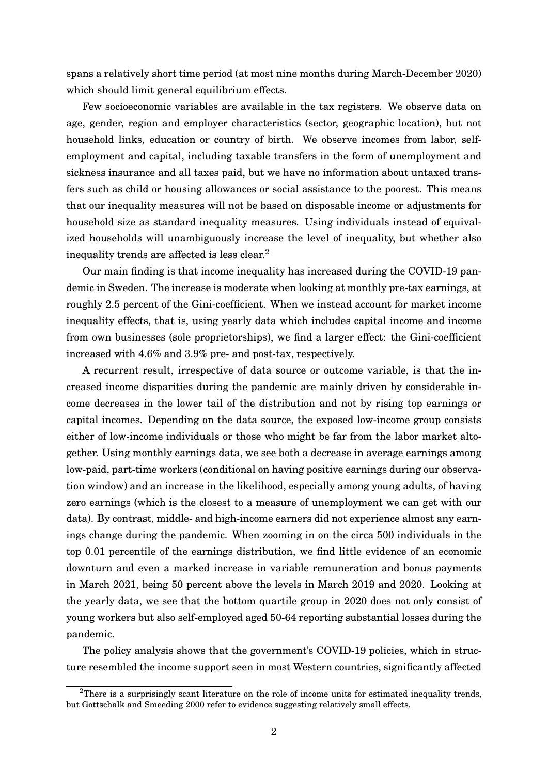spans a relatively short time period (at most nine months during March-December 2020) which should limit general equilibrium effects.

Few socioeconomic variables are available in the tax registers. We observe data on age, gender, region and employer characteristics (sector, geographic location), but not household links, education or country of birth. We observe incomes from labor, selfemployment and capital, including taxable transfers in the form of unemployment and sickness insurance and all taxes paid, but we have no information about untaxed transfers such as child or housing allowances or social assistance to the poorest. This means that our inequality measures will not be based on disposable income or adjustments for household size as standard inequality measures. Using individuals instead of equivalized households will unambiguously increase the level of inequality, but whether also inequality trends are affected is less clear.[2](#page-0-0)

Our main finding is that income inequality has increased during the COVID-19 pandemic in Sweden. The increase is moderate when looking at monthly pre-tax earnings, at roughly 2.5 percent of the Gini-coefficient. When we instead account for market income inequality effects, that is, using yearly data which includes capital income and income from own businesses (sole proprietorships), we find a larger effect: the Gini-coefficient increased with 4.6% and 3.9% pre- and post-tax, respectively.

A recurrent result, irrespective of data source or outcome variable, is that the increased income disparities during the pandemic are mainly driven by considerable income decreases in the lower tail of the distribution and not by rising top earnings or capital incomes. Depending on the data source, the exposed low-income group consists either of low-income individuals or those who might be far from the labor market altogether. Using monthly earnings data, we see both a decrease in average earnings among low-paid, part-time workers (conditional on having positive earnings during our observation window) and an increase in the likelihood, especially among young adults, of having zero earnings (which is the closest to a measure of unemployment we can get with our data). By contrast, middle- and high-income earners did not experience almost any earnings change during the pandemic. When zooming in on the circa 500 individuals in the top 0.01 percentile of the earnings distribution, we find little evidence of an economic downturn and even a marked increase in variable remuneration and bonus payments in March 2021, being 50 percent above the levels in March 2019 and 2020. Looking at the yearly data, we see that the bottom quartile group in 2020 does not only consist of young workers but also self-employed aged 50-64 reporting substantial losses during the pandemic.

The policy analysis shows that the government's COVID-19 policies, which in structure resembled the income support seen in most Western countries, significantly affected

<sup>&</sup>lt;sup>2</sup>There is a surprisingly scant literature on the role of income units for estimated inequality trends, but [Gottschalk and Smeeding 2000](#page-31-6) refer to evidence suggesting relatively small effects.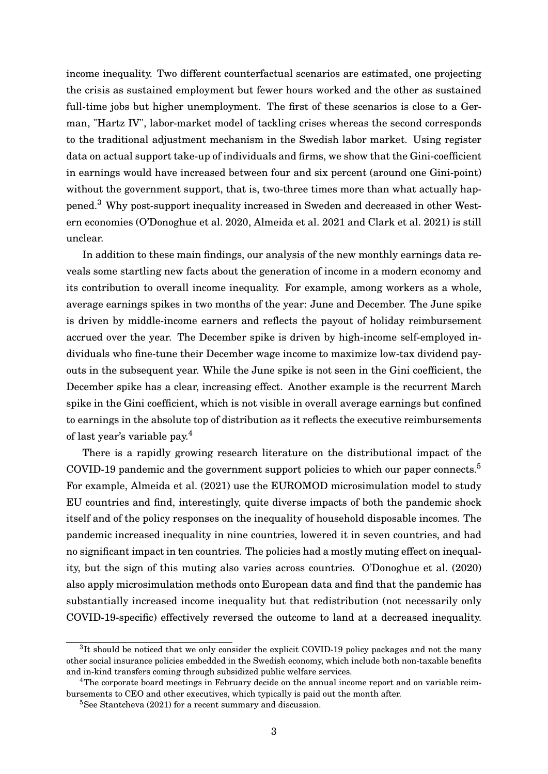income inequality. Two different counterfactual scenarios are estimated, one projecting the crisis as sustained employment but fewer hours worked and the other as sustained full-time jobs but higher unemployment. The first of these scenarios is close to a German, "Hartz IV", labor-market model of tackling crises whereas the second corresponds to the traditional adjustment mechanism in the Swedish labor market. Using register data on actual support take-up of individuals and firms, we show that the Gini-coefficient in earnings would have increased between four and six percent (around one Gini-point) without the government support, that is, two-three times more than what actually happened.[3](#page-0-0) Why post-support inequality increased in Sweden and decreased in other Western economies [\(O'Donoghue et al. 2020,](#page-31-2) [Almeida et al. 2021](#page-31-3) and [Clark et al. 2021\)](#page-31-4) is still unclear.

In addition to these main findings, our analysis of the new monthly earnings data reveals some startling new facts about the generation of income in a modern economy and its contribution to overall income inequality. For example, among workers as a whole, average earnings spikes in two months of the year: June and December. The June spike is driven by middle-income earners and reflects the payout of holiday reimbursement accrued over the year. The December spike is driven by high-income self-employed individuals who fine-tune their December wage income to maximize low-tax dividend payouts in the subsequent year. While the June spike is not seen in the Gini coefficient, the December spike has a clear, increasing effect. Another example is the recurrent March spike in the Gini coefficient, which is not visible in overall average earnings but confined to earnings in the absolute top of distribution as it reflects the executive reimbursements of last year's variable pay.[4](#page-0-0)

There is a rapidly growing research literature on the distributional impact of the COVID-19 pandemic and the government support policies to which our paper connects.<sup>[5](#page-0-0)</sup> For example, [Almeida et al.](#page-31-3) [\(2021\)](#page-31-3) use the EUROMOD microsimulation model to study EU countries and find, interestingly, quite diverse impacts of both the pandemic shock itself and of the policy responses on the inequality of household disposable incomes. The pandemic increased inequality in nine countries, lowered it in seven countries, and had no significant impact in ten countries. The policies had a mostly muting effect on inequality, but the sign of this muting also varies across countries. [O'Donoghue et al.](#page-31-2) [\(2020\)](#page-31-2) also apply microsimulation methods onto European data and find that the pandemic has substantially increased income inequality but that redistribution (not necessarily only COVID-19-specific) effectively reversed the outcome to land at a decreased inequality.

 ${}^{3}$ It should be noticed that we only consider the explicit COVID-19 policy packages and not the many other social insurance policies embedded in the Swedish economy, which include both non-taxable benefits and in-kind transfers coming through subsidized public welfare services.

<sup>&</sup>lt;sup>4</sup>The corporate board meetings in February decide on the annual income report and on variable reimbursements to CEO and other executives, which typically is paid out the month after.

<sup>&</sup>lt;sup>5</sup>See [Stantcheva](#page-31-5) [\(2021\)](#page-31-5) for a recent summary and discussion.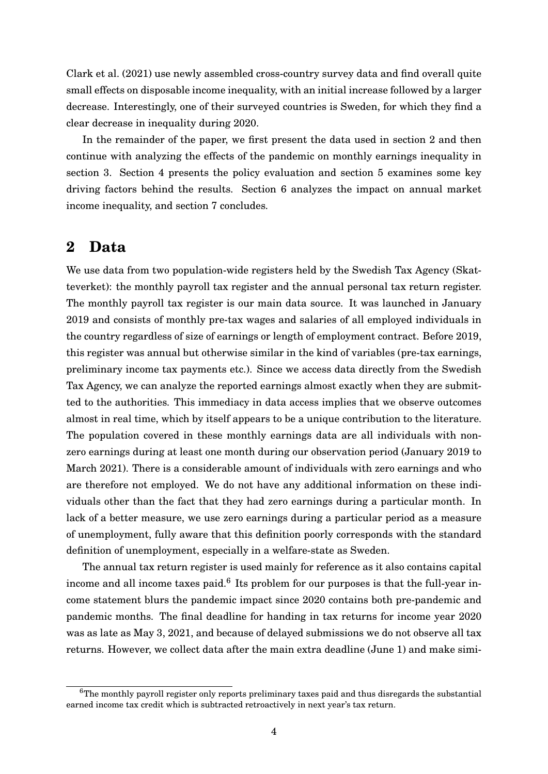[Clark et al.](#page-31-4) [\(2021\)](#page-31-4) use newly assembled cross-country survey data and find overall quite small effects on disposable income inequality, with an initial increase followed by a larger decrease. Interestingly, one of their surveyed countries is Sweden, for which they find a clear decrease in inequality during 2020.

In the remainder of the paper, we first present the data used in section [2](#page-4-0) and then continue with analyzing the effects of the pandemic on monthly earnings inequality in section [3.](#page-5-0) Section [4](#page-10-0) presents the policy evaluation and section [5](#page-15-0) examines some key driving factors behind the results. Section [6](#page-23-0) analyzes the impact on annual market income inequality, and section [7](#page-30-0) concludes.

## <span id="page-4-0"></span>**2 Data**

We use data from two population-wide registers held by the Swedish Tax Agency (Skatteverket): the monthly payroll tax register and the annual personal tax return register. The monthly payroll tax register is our main data source. It was launched in January 2019 and consists of monthly pre-tax wages and salaries of all employed individuals in the country regardless of size of earnings or length of employment contract. Before 2019, this register was annual but otherwise similar in the kind of variables (pre-tax earnings, preliminary income tax payments etc.). Since we access data directly from the Swedish Tax Agency, we can analyze the reported earnings almost exactly when they are submitted to the authorities. This immediacy in data access implies that we observe outcomes almost in real time, which by itself appears to be a unique contribution to the literature. The population covered in these monthly earnings data are all individuals with nonzero earnings during at least one month during our observation period (January 2019 to March 2021). There is a considerable amount of individuals with zero earnings and who are therefore not employed. We do not have any additional information on these individuals other than the fact that they had zero earnings during a particular month. In lack of a better measure, we use zero earnings during a particular period as a measure of unemployment, fully aware that this definition poorly corresponds with the standard definition of unemployment, especially in a welfare-state as Sweden.

The annual tax return register is used mainly for reference as it also contains capital income and all income taxes paid.<sup>[6](#page-0-0)</sup> Its problem for our purposes is that the full-year income statement blurs the pandemic impact since 2020 contains both pre-pandemic and pandemic months. The final deadline for handing in tax returns for income year 2020 was as late as May 3, 2021, and because of delayed submissions we do not observe all tax returns. However, we collect data after the main extra deadline (June 1) and make simi-

<sup>&</sup>lt;sup>6</sup>The monthly payroll register only reports preliminary taxes paid and thus disregards the substantial earned income tax credit which is subtracted retroactively in next year's tax return.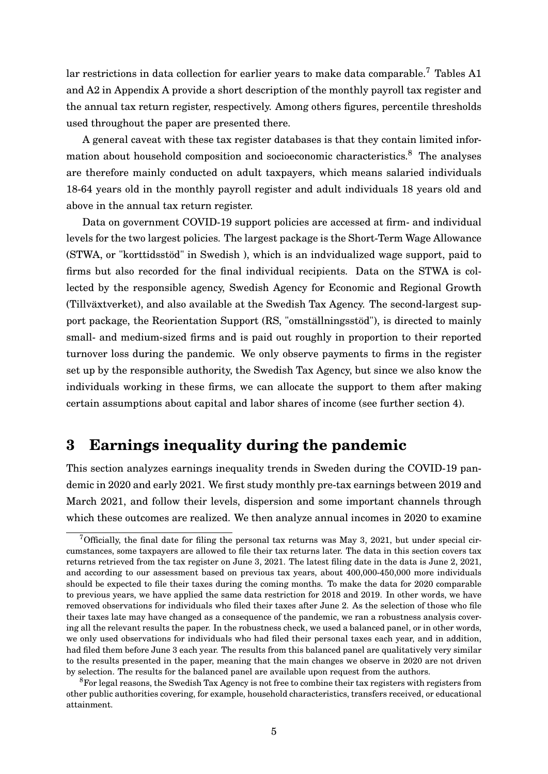lar restrictions in data collection for earlier years to make data comparable.<sup>[7](#page-0-0)</sup> Tables [A1](#page-32-0) and [A2](#page-32-1) in Appendix A provide a short description of the monthly payroll tax register and the annual tax return register, respectively. Among others figures, percentile thresholds used throughout the paper are presented there.

A general caveat with these tax register databases is that they contain limited infor-mation about household composition and socioeconomic characteristics.<sup>[8](#page-0-0)</sup> The analyses are therefore mainly conducted on adult taxpayers, which means salaried individuals 18-64 years old in the monthly payroll register and adult individuals 18 years old and above in the annual tax return register.

Data on government COVID-19 support policies are accessed at firm- and individual levels for the two largest policies. The largest package is the Short-Term Wage Allowance (STWA, or "korttidsstöd" in Swedish ), which is an indvidualized wage support, paid to firms but also recorded for the final individual recipients. Data on the STWA is collected by the responsible agency, Swedish Agency for Economic and Regional Growth (Tillväxtverket), and also available at the Swedish Tax Agency. The second-largest support package, the Reorientation Support (RS, "omställningsstöd"), is directed to mainly small- and medium-sized firms and is paid out roughly in proportion to their reported turnover loss during the pandemic. We only observe payments to firms in the register set up by the responsible authority, the Swedish Tax Agency, but since we also know the individuals working in these firms, we can allocate the support to them after making certain assumptions about capital and labor shares of income (see further section [4\)](#page-10-0).

## <span id="page-5-0"></span>**3 Earnings inequality during the pandemic**

This section analyzes earnings inequality trends in Sweden during the COVID-19 pandemic in 2020 and early 2021. We first study monthly pre-tax earnings between 2019 and March 2021, and follow their levels, dispersion and some important channels through which these outcomes are realized. We then analyze annual incomes in 2020 to examine

<sup>&</sup>lt;sup>7</sup>Officially, the final date for filing the personal tax returns was May 3, 2021, but under special circumstances, some taxpayers are allowed to file their tax returns later. The data in this section covers tax returns retrieved from the tax register on June 3, 2021. The latest filing date in the data is June 2, 2021, and according to our assessment based on previous tax years, about 400,000-450,000 more individuals should be expected to file their taxes during the coming months. To make the data for 2020 comparable to previous years, we have applied the same data restriction for 2018 and 2019. In other words, we have removed observations for individuals who filed their taxes after June 2. As the selection of those who file their taxes late may have changed as a consequence of the pandemic, we ran a robustness analysis covering all the relevant results the paper. In the robustness check, we used a balanced panel, or in other words, we only used observations for individuals who had filed their personal taxes each year, and in addition, had filed them before June 3 each year. The results from this balanced panel are qualitatively very similar to the results presented in the paper, meaning that the main changes we observe in 2020 are not driven by selection. The results for the balanced panel are available upon request from the authors.

<sup>&</sup>lt;sup>8</sup>For legal reasons, the Swedish Tax Agency is not free to combine their tax registers with registers from other public authorities covering, for example, household characteristics, transfers received, or educational attainment.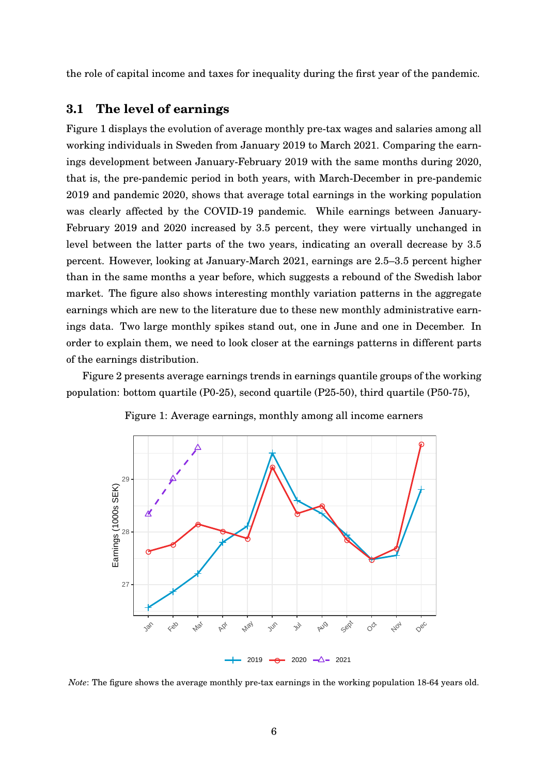the role of capital income and taxes for inequality during the first year of the pandemic.

#### **3.1 The level of earnings**

Figure [1](#page-6-0) displays the evolution of average monthly pre-tax wages and salaries among all working individuals in Sweden from January 2019 to March 2021. Comparing the earnings development between January-February 2019 with the same months during 2020, that is, the pre-pandemic period in both years, with March-December in pre-pandemic 2019 and pandemic 2020, shows that average total earnings in the working population was clearly affected by the COVID-19 pandemic. While earnings between January-February 2019 and 2020 increased by 3.5 percent, they were virtually unchanged in level between the latter parts of the two years, indicating an overall decrease by 3.5 percent. However, looking at January-March 2021, earnings are 2.5–3.5 percent higher than in the same months a year before, which suggests a rebound of the Swedish labor market. The figure also shows interesting monthly variation patterns in the aggregate earnings which are new to the literature due to these new monthly administrative earnings data. Two large monthly spikes stand out, one in June and one in December. In order to explain them, we need to look closer at the earnings patterns in different parts of the earnings distribution.

<span id="page-6-0"></span>Figure [2](#page-8-0) presents average earnings trends in earnings quantile groups of the working population: bottom quartile (P0-25), second quartile (P25-50), third quartile (P50-75),



Figure 1: Average earnings, monthly among all income earners

*Note*: The figure shows the average monthly pre-tax earnings in the working population 18-64 years old.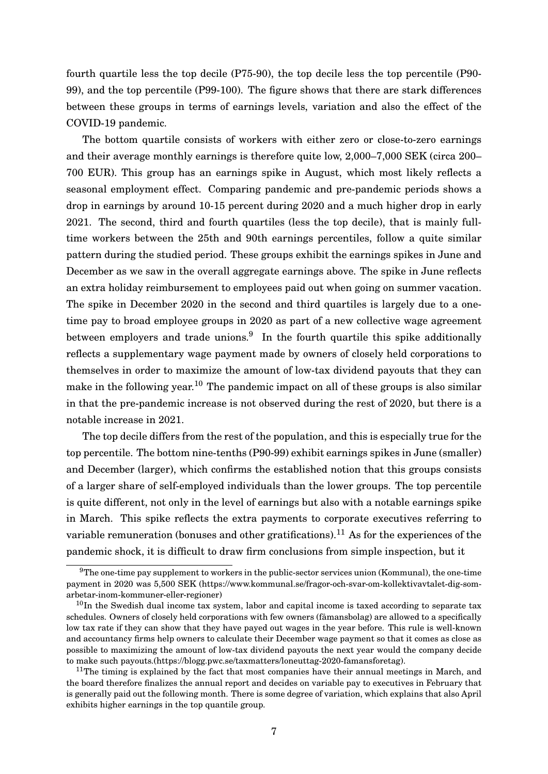fourth quartile less the top decile (P75-90), the top decile less the top percentile (P90- 99), and the top percentile (P99-100). The figure shows that there are stark differences between these groups in terms of earnings levels, variation and also the effect of the COVID-19 pandemic.

The bottom quartile consists of workers with either zero or close-to-zero earnings and their average monthly earnings is therefore quite low, 2,000–7,000 SEK (circa 200– 700 EUR). This group has an earnings spike in August, which most likely reflects a seasonal employment effect. Comparing pandemic and pre-pandemic periods shows a drop in earnings by around 10-15 percent during 2020 and a much higher drop in early 2021. The second, third and fourth quartiles (less the top decile), that is mainly fulltime workers between the 25th and 90th earnings percentiles, follow a quite similar pattern during the studied period. These groups exhibit the earnings spikes in June and December as we saw in the overall aggregate earnings above. The spike in June reflects an extra holiday reimbursement to employees paid out when going on summer vacation. The spike in December 2020 in the second and third quartiles is largely due to a onetime pay to broad employee groups in 2020 as part of a new collective wage agreement between employers and trade unions.<sup>[9](#page-0-0)</sup> In the fourth quartile this spike additionally reflects a supplementary wage payment made by owners of closely held corporations to themselves in order to maximize the amount of low-tax dividend payouts that they can make in the following year.<sup>[10](#page-0-0)</sup> The pandemic impact on all of these groups is also similar in that the pre-pandemic increase is not observed during the rest of 2020, but there is a notable increase in 2021.

The top decile differs from the rest of the population, and this is especially true for the top percentile. The bottom nine-tenths (P90-99) exhibit earnings spikes in June (smaller) and December (larger), which confirms the established notion that this groups consists of a larger share of self-employed individuals than the lower groups. The top percentile is quite different, not only in the level of earnings but also with a notable earnings spike in March. This spike reflects the extra payments to corporate executives referring to variable remuneration (bonuses and other gratifications).<sup>[11](#page-0-0)</sup> As for the experiences of the pandemic shock, it is difficult to draw firm conclusions from simple inspection, but it

 $9$ The one-time pay supplement to workers in the public-sector services union (Kommunal), the one-time payment in 2020 was 5,500 SEK (https://www.kommunal.se/fragor-och-svar-om-kollektivavtalet-dig-somarbetar-inom-kommuner-eller-regioner)

 $10$ In the Swedish dual income tax system, labor and capital income is taxed according to separate tax schedules. Owners of closely held corporations with few owners (fåmansbolag) are allowed to a specifically low tax rate if they can show that they have payed out wages in the year before. This rule is well-known and accountancy firms help owners to calculate their December wage payment so that it comes as close as possible to maximizing the amount of low-tax dividend payouts the next year would the company decide to make such payouts.(https://blogg.pwc.se/taxmatters/loneuttag-2020-famansforetag).

 $11$ The timing is explained by the fact that most companies have their annual meetings in March, and the board therefore finalizes the annual report and decides on variable pay to executives in February that is generally paid out the following month. There is some degree of variation, which explains that also April exhibits higher earnings in the top quantile group.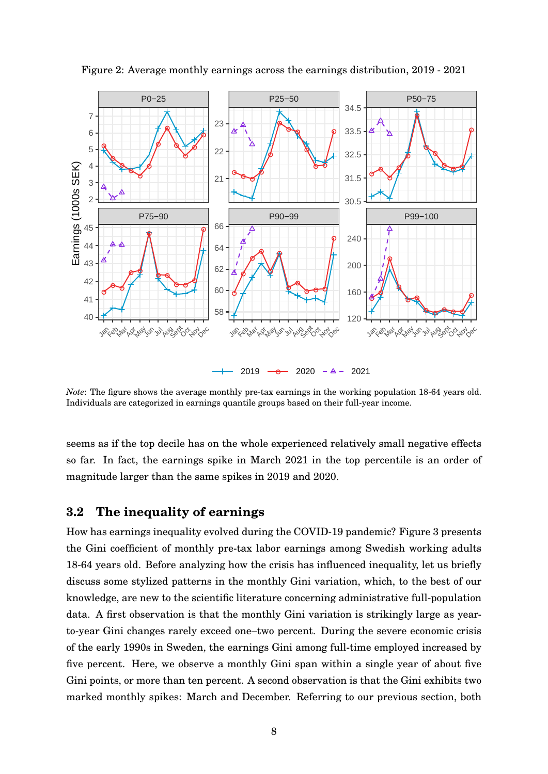

<span id="page-8-0"></span>Figure 2: Average monthly earnings across the earnings distribution, 2019 - 2021

*Note*: The figure shows the average monthly pre-tax earnings in the working population 18-64 years old. Individuals are categorized in earnings quantile groups based on their full-year income.

seems as if the top decile has on the whole experienced relatively small negative effects so far. In fact, the earnings spike in March 2021 in the top percentile is an order of magnitude larger than the same spikes in 2019 and 2020.

### **3.2 The inequality of earnings**

How has earnings inequality evolved during the COVID-19 pandemic? Figure [3](#page-9-0) presents the Gini coefficient of monthly pre-tax labor earnings among Swedish working adults 18-64 years old. Before analyzing how the crisis has influenced inequality, let us briefly discuss some stylized patterns in the monthly Gini variation, which, to the best of our knowledge, are new to the scientific literature concerning administrative full-population data. A first observation is that the monthly Gini variation is strikingly large as yearto-year Gini changes rarely exceed one–two percent. During the severe economic crisis of the early 1990s in Sweden, the earnings Gini among full-time employed increased by five percent. Here, we observe a monthly Gini span within a single year of about five Gini points, or more than ten percent. A second observation is that the Gini exhibits two marked monthly spikes: March and December. Referring to our previous section, both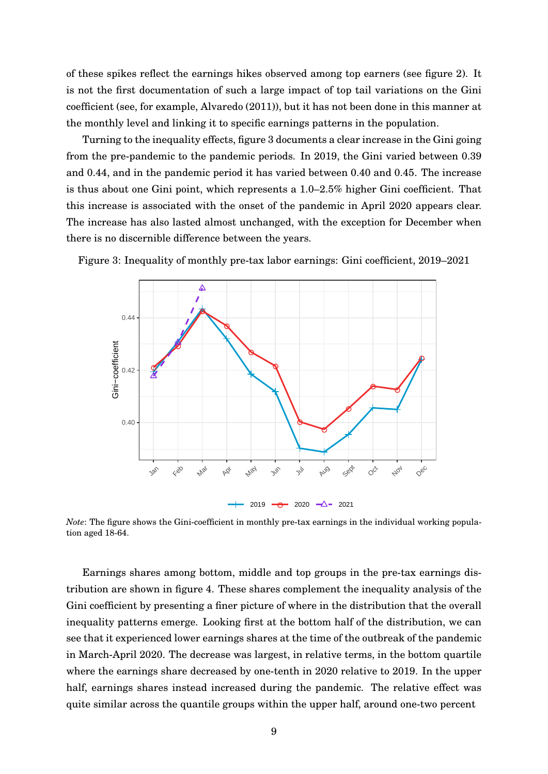of these spikes reflect the earnings hikes observed among top earners (see figure [2\)](#page-8-0). It is not the first documentation of such a large impact of top tail variations on the Gini coefficient (see, for example, [Alvaredo](#page-31-7) [\(2011\)](#page-31-7)), but it has not been done in this manner at the monthly level and linking it to specific earnings patterns in the population.

Turning to the inequality effects, figure [3](#page-9-0) documents a clear increase in the Gini going from the pre-pandemic to the pandemic periods. In 2019, the Gini varied between 0.39 and 0.44, and in the pandemic period it has varied between 0.40 and 0.45. The increase is thus about one Gini point, which represents a 1.0–2.5% higher Gini coefficient. That this increase is associated with the onset of the pandemic in April 2020 appears clear. The increase has also lasted almost unchanged, with the exception for December when there is no discernible difference between the years.



<span id="page-9-0"></span>Figure 3: Inequality of monthly pre-tax labor earnings: Gini coefficient, 2019–2021

*Note*: The figure shows the Gini-coefficient in monthly pre-tax earnings in the individual working population aged 18-64.

Earnings shares among bottom, middle and top groups in the pre-tax earnings distribution are shown in figure [4.](#page-10-1) These shares complement the inequality analysis of the Gini coefficient by presenting a finer picture of where in the distribution that the overall inequality patterns emerge. Looking first at the bottom half of the distribution, we can see that it experienced lower earnings shares at the time of the outbreak of the pandemic in March-April 2020. The decrease was largest, in relative terms, in the bottom quartile where the earnings share decreased by one-tenth in 2020 relative to 2019. In the upper half, earnings shares instead increased during the pandemic. The relative effect was quite similar across the quantile groups within the upper half, around one-two percent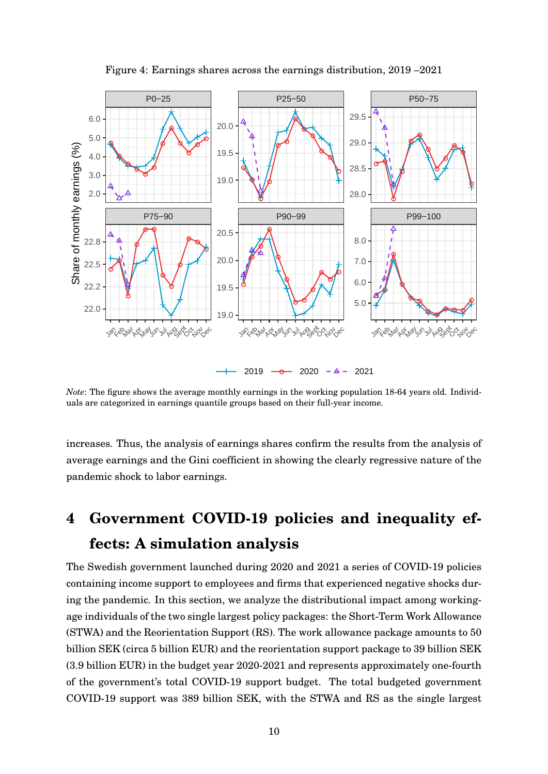<span id="page-10-1"></span>

Figure 4: Earnings shares across the earnings distribution, 2019 –2021

*Note*: The figure shows the average monthly earnings in the working population 18-64 years old. Individuals are categorized in earnings quantile groups based on their full-year income.

increases. Thus, the analysis of earnings shares confirm the results from the analysis of average earnings and the Gini coefficient in showing the clearly regressive nature of the pandemic shock to labor earnings.

# <span id="page-10-0"></span>**4 Government COVID-19 policies and inequality effects: A simulation analysis**

The Swedish government launched during 2020 and 2021 a series of COVID-19 policies containing income support to employees and firms that experienced negative shocks during the pandemic. In this section, we analyze the distributional impact among workingage individuals of the two single largest policy packages: the Short-Term Work Allowance (STWA) and the Reorientation Support (RS). The work allowance package amounts to 50 billion SEK (circa 5 billion EUR) and the reorientation support package to 39 billion SEK (3.9 billion EUR) in the budget year 2020-2021 and represents approximately one-fourth of the government's total COVID-19 support budget. The total budgeted government COVID-19 support was 389 billion SEK, with the STWA and RS as the single largest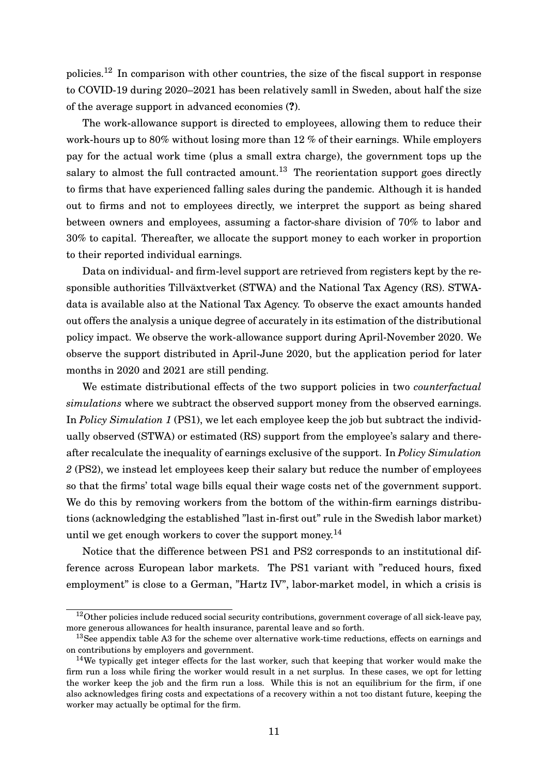policies.<sup>[12](#page-0-0)</sup> In comparison with other countries, the size of the fiscal support in response to COVID-19 during 2020–2021 has been relatively samll in Sweden, about half the size of the average support in advanced economies (**?**).

The work-allowance support is directed to employees, allowing them to reduce their work-hours up to 80% without losing more than 12 % of their earnings. While employers pay for the actual work time (plus a small extra charge), the government tops up the salary to almost the full contracted amount.<sup>[13](#page-0-0)</sup> The reorientation support goes directly to firms that have experienced falling sales during the pandemic. Although it is handed out to firms and not to employees directly, we interpret the support as being shared between owners and employees, assuming a factor-share division of 70% to labor and 30% to capital. Thereafter, we allocate the support money to each worker in proportion to their reported individual earnings.

Data on individual- and firm-level support are retrieved from registers kept by the responsible authorities Tillväxtverket (STWA) and the National Tax Agency (RS). STWAdata is available also at the National Tax Agency. To observe the exact amounts handed out offers the analysis a unique degree of accurately in its estimation of the distributional policy impact. We observe the work-allowance support during April-November 2020. We observe the support distributed in April-June 2020, but the application period for later months in 2020 and 2021 are still pending.

We estimate distributional effects of the two support policies in two *counterfactual simulations* where we subtract the observed support money from the observed earnings. In *Policy Simulation 1* (PS1), we let each employee keep the job but subtract the individually observed (STWA) or estimated (RS) support from the employee's salary and thereafter recalculate the inequality of earnings exclusive of the support. In *Policy Simulation 2* (PS2), we instead let employees keep their salary but reduce the number of employees so that the firms' total wage bills equal their wage costs net of the government support. We do this by removing workers from the bottom of the within-firm earnings distributions (acknowledging the established "last in-first out" rule in the Swedish labor market) until we get enough workers to cover the support money.<sup>[14](#page-0-0)</sup>

Notice that the difference between PS1 and PS2 corresponds to an institutional difference across European labor markets. The PS1 variant with "reduced hours, fixed employment" is close to a German, "Hartz IV", labor-market model, in which a crisis is

<sup>&</sup>lt;sup>12</sup>Other policies include reduced social security contributions, government coverage of all sick-leave pay, more generous allowances for health insurance, parental leave and so forth.

<sup>13</sup>See appendix table [A3](#page-32-2) for the scheme over alternative work-time reductions, effects on earnings and on contributions by employers and government.

<sup>&</sup>lt;sup>14</sup>We typically get integer effects for the last worker, such that keeping that worker would make the firm run a loss while firing the worker would result in a net surplus. In these cases, we opt for letting the worker keep the job and the firm run a loss. While this is not an equilibrium for the firm, if one also acknowledges firing costs and expectations of a recovery within a not too distant future, keeping the worker may actually be optimal for the firm.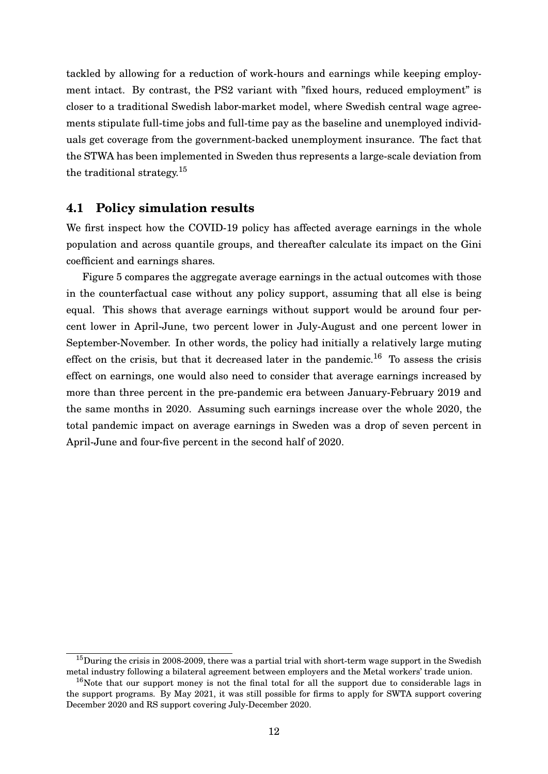tackled by allowing for a reduction of work-hours and earnings while keeping employment intact. By contrast, the PS2 variant with "fixed hours, reduced employment" is closer to a traditional Swedish labor-market model, where Swedish central wage agreements stipulate full-time jobs and full-time pay as the baseline and unemployed individuals get coverage from the government-backed unemployment insurance. The fact that the STWA has been implemented in Sweden thus represents a large-scale deviation from the traditional strategy.[15](#page-0-0)

### **4.1 Policy simulation results**

We first inspect how the COVID-19 policy has affected average earnings in the whole population and across quantile groups, and thereafter calculate its impact on the Gini coefficient and earnings shares.

Figure [5](#page-13-0) compares the aggregate average earnings in the actual outcomes with those in the counterfactual case without any policy support, assuming that all else is being equal. This shows that average earnings without support would be around four percent lower in April-June, two percent lower in July-August and one percent lower in September-November. In other words, the policy had initially a relatively large muting effect on the crisis, but that it decreased later in the pandemic.<sup>[16](#page-0-0)</sup> To assess the crisis effect on earnings, one would also need to consider that average earnings increased by more than three percent in the pre-pandemic era between January-February 2019 and the same months in 2020. Assuming such earnings increase over the whole 2020, the total pandemic impact on average earnings in Sweden was a drop of seven percent in April-June and four-five percent in the second half of 2020.

 $15$ During the crisis in 2008-2009, there was a partial trial with short-term wage support in the Swedish metal industry following a bilateral agreement between employers and the Metal workers' trade union.

 $16$ Note that our support money is not the final total for all the support due to considerable lags in the support programs. By May 2021, it was still possible for firms to apply for SWTA support covering December 2020 and RS support covering July-December 2020.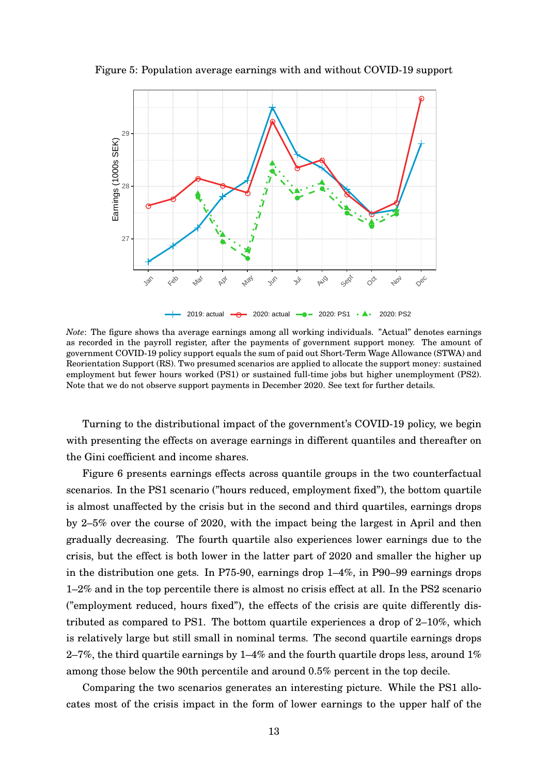

<span id="page-13-0"></span>Figure 5: Population average earnings with and without COVID-19 support

*Note*: The figure shows tha average earnings among all working individuals. "Actual" denotes earnings as recorded in the payroll register, after the payments of government support money. The amount of government COVID-19 policy support equals the sum of paid out Short-Term Wage Allowance (STWA) and Reorientation Support (RS). Two presumed scenarios are applied to allocate the support money: sustained employment but fewer hours worked (PS1) or sustained full-time jobs but higher unemployment (PS2). Note that we do not observe support payments in December 2020. See text for further details.

Turning to the distributional impact of the government's COVID-19 policy, we begin with presenting the effects on average earnings in different quantiles and thereafter on the Gini coefficient and income shares.

Figure [6](#page-14-0) presents earnings effects across quantile groups in the two counterfactual scenarios. In the PS1 scenario ("hours reduced, employment fixed"), the bottom quartile is almost unaffected by the crisis but in the second and third quartiles, earnings drops by 2–5% over the course of 2020, with the impact being the largest in April and then gradually decreasing. The fourth quartile also experiences lower earnings due to the crisis, but the effect is both lower in the latter part of 2020 and smaller the higher up in the distribution one gets. In P75-90, earnings drop 1–4%, in P90–99 earnings drops 1–2% and in the top percentile there is almost no crisis effect at all. In the PS2 scenario ("employment reduced, hours fixed"), the effects of the crisis are quite differently distributed as compared to PS1. The bottom quartile experiences a drop of 2–10%, which is relatively large but still small in nominal terms. The second quartile earnings drops 2–7%, the third quartile earnings by 1–4% and the fourth quartile drops less, around  $1\%$ among those below the 90th percentile and around 0.5% percent in the top decile.

Comparing the two scenarios generates an interesting picture. While the PS1 allocates most of the crisis impact in the form of lower earnings to the upper half of the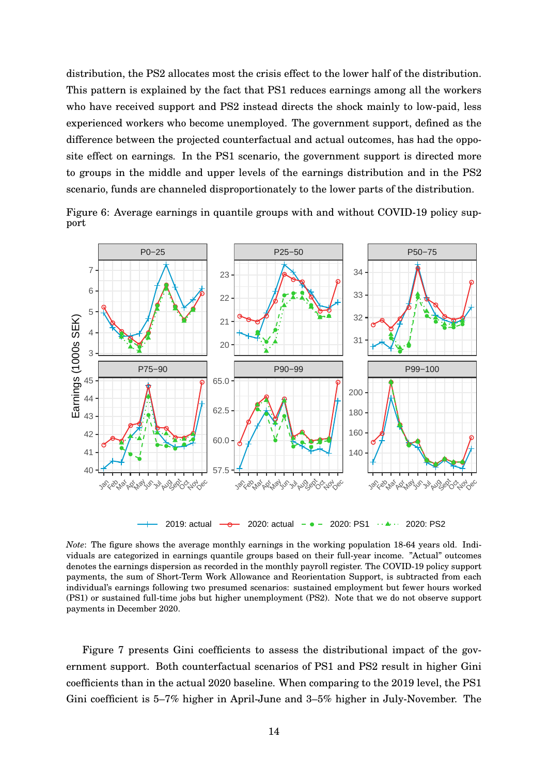distribution, the PS2 allocates most the crisis effect to the lower half of the distribution. This pattern is explained by the fact that PS1 reduces earnings among all the workers who have received support and PS2 instead directs the shock mainly to low-paid, less experienced workers who become unemployed. The government support, defined as the difference between the projected counterfactual and actual outcomes, has had the opposite effect on earnings. In the PS1 scenario, the government support is directed more to groups in the middle and upper levels of the earnings distribution and in the PS2 scenario, funds are channeled disproportionately to the lower parts of the distribution.

<span id="page-14-0"></span>Figure 6: Average earnings in quantile groups with and without COVID-19 policy support



*Note*: The figure shows the average monthly earnings in the working population 18-64 years old. Individuals are categorized in earnings quantile groups based on their full-year income. "Actual" outcomes denotes the earnings dispersion as recorded in the monthly payroll register. The COVID-19 policy support payments, the sum of Short-Term Work Allowance and Reorientation Support, is subtracted from each individual's earnings following two presumed scenarios: sustained employment but fewer hours worked (PS1) or sustained full-time jobs but higher unemployment (PS2). Note that we do not observe support payments in December 2020.

Figure [7](#page-15-1) presents Gini coefficients to assess the distributional impact of the government support. Both counterfactual scenarios of PS1 and PS2 result in higher Gini coefficients than in the actual 2020 baseline. When comparing to the 2019 level, the PS1 Gini coefficient is 5–7% higher in April-June and 3–5% higher in July-November. The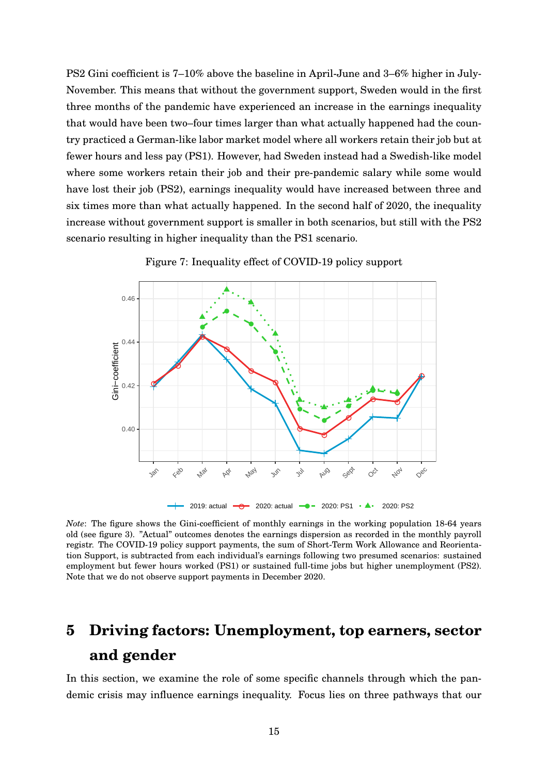PS2 Gini coefficient is 7–10% above the baseline in April-June and 3–6% higher in July-November. This means that without the government support, Sweden would in the first three months of the pandemic have experienced an increase in the earnings inequality that would have been two–four times larger than what actually happened had the country practiced a German-like labor market model where all workers retain their job but at fewer hours and less pay (PS1). However, had Sweden instead had a Swedish-like model where some workers retain their job and their pre-pandemic salary while some would have lost their job (PS2), earnings inequality would have increased between three and six times more than what actually happened. In the second half of 2020, the inequality increase without government support is smaller in both scenarios, but still with the PS2 scenario resulting in higher inequality than the PS1 scenario.

<span id="page-15-1"></span>

Figure 7: Inequality effect of COVID-19 policy support

*Note*: The figure shows the Gini-coefficient of monthly earnings in the working population 18-64 years old (see figure [3\)](#page-9-0). "Actual" outcomes denotes the earnings dispersion as recorded in the monthly payroll registr. The COVID-19 policy support payments, the sum of Short-Term Work Allowance and Reorientation Support, is subtracted from each individual's earnings following two presumed scenarios: sustained employment but fewer hours worked (PS1) or sustained full-time jobs but higher unemployment (PS2). Note that we do not observe support payments in December 2020.

# <span id="page-15-0"></span>**5 Driving factors: Unemployment, top earners, sector and gender**

In this section, we examine the role of some specific channels through which the pandemic crisis may influence earnings inequality. Focus lies on three pathways that our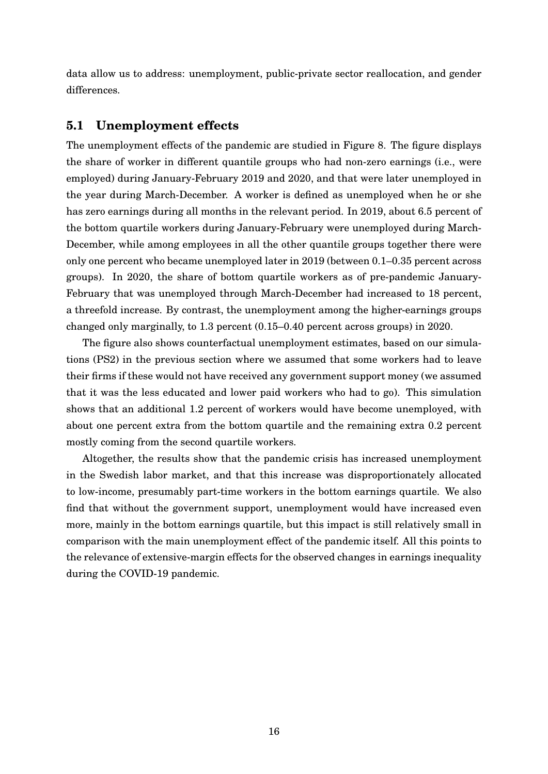data allow us to address: unemployment, public-private sector reallocation, and gender differences.

### **5.1 Unemployment effects**

The unemployment effects of the pandemic are studied in Figure [8.](#page-17-0) The figure displays the share of worker in different quantile groups who had non-zero earnings (i.e., were employed) during January-February 2019 and 2020, and that were later unemployed in the year during March-December. A worker is defined as unemployed when he or she has zero earnings during all months in the relevant period. In 2019, about 6.5 percent of the bottom quartile workers during January-February were unemployed during March-December, while among employees in all the other quantile groups together there were only one percent who became unemployed later in 2019 (between 0.1–0.35 percent across groups). In 2020, the share of bottom quartile workers as of pre-pandemic January-February that was unemployed through March-December had increased to 18 percent, a threefold increase. By contrast, the unemployment among the higher-earnings groups changed only marginally, to 1.3 percent (0.15–0.40 percent across groups) in 2020.

The figure also shows counterfactual unemployment estimates, based on our simulations (PS2) in the previous section where we assumed that some workers had to leave their firms if these would not have received any government support money (we assumed that it was the less educated and lower paid workers who had to go). This simulation shows that an additional 1.2 percent of workers would have become unemployed, with about one percent extra from the bottom quartile and the remaining extra 0.2 percent mostly coming from the second quartile workers.

Altogether, the results show that the pandemic crisis has increased unemployment in the Swedish labor market, and that this increase was disproportionately allocated to low-income, presumably part-time workers in the bottom earnings quartile. We also find that without the government support, unemployment would have increased even more, mainly in the bottom earnings quartile, but this impact is still relatively small in comparison with the main unemployment effect of the pandemic itself. All this points to the relevance of extensive-margin effects for the observed changes in earnings inequality during the COVID-19 pandemic.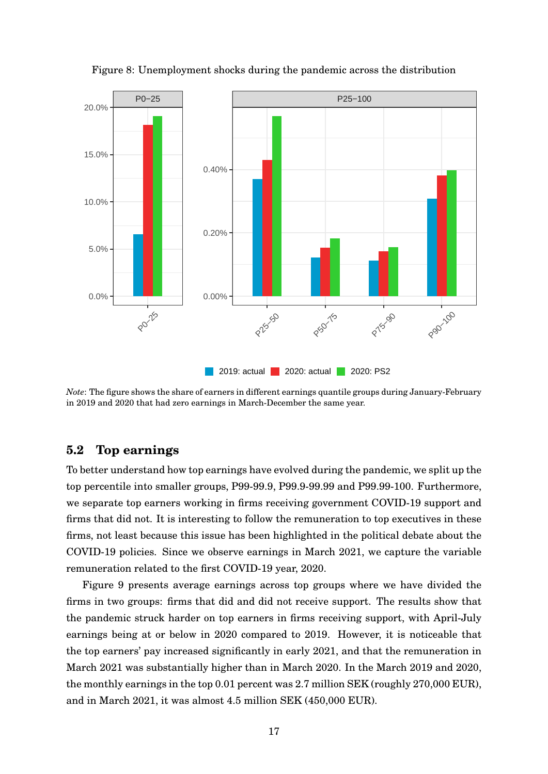<span id="page-17-0"></span>

Figure 8: Unemployment shocks during the pandemic across the distribution

*Note*: The figure shows the share of earners in different earnings quantile groups during January-February in 2019 and 2020 that had zero earnings in March-December the same year.

## **5.2 Top earnings**

To better understand how top earnings have evolved during the pandemic, we split up the top percentile into smaller groups, P99-99.9, P99.9-99.99 and P99.99-100. Furthermore, we separate top earners working in firms receiving government COVID-19 support and firms that did not. It is interesting to follow the remuneration to top executives in these firms, not least because this issue has been highlighted in the political debate about the COVID-19 policies. Since we observe earnings in March 2021, we capture the variable remuneration related to the first COVID-19 year, 2020.

Figure [9](#page-18-0) presents average earnings across top groups where we have divided the firms in two groups: firms that did and did not receive support. The results show that the pandemic struck harder on top earners in firms receiving support, with April-July earnings being at or below in 2020 compared to 2019. However, it is noticeable that the top earners' pay increased significantly in early 2021, and that the remuneration in March 2021 was substantially higher than in March 2020. In the March 2019 and 2020, the monthly earnings in the top 0.01 percent was 2.7 million SEK (roughly 270,000 EUR), and in March 2021, it was almost 4.5 million SEK (450,000 EUR).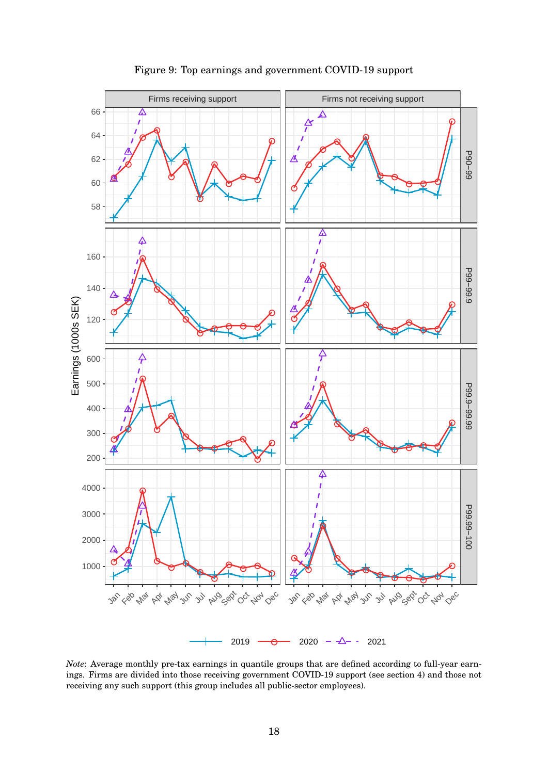<span id="page-18-0"></span>

#### Figure 9: Top earnings and government COVID-19 support

*Note*: Average monthly pre-tax earnings in quantile groups that are defined according to full-year earnings. Firms are divided into those receiving government COVID-19 support (see section [4\)](#page-10-0) and those not receiving any such support (this group includes all public-sector employees).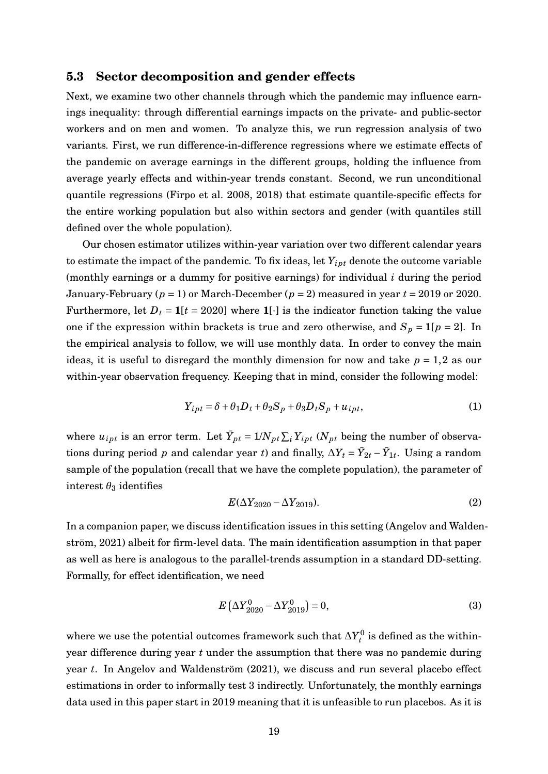#### **5.3 Sector decomposition and gender effects**

Next, we examine two other channels through which the pandemic may influence earnings inequality: through differential earnings impacts on the private- and public-sector workers and on men and women. To analyze this, we run regression analysis of two variants. First, we run difference-in-difference regressions where we estimate effects of the pandemic on average earnings in the different groups, holding the influence from average yearly effects and within-year trends constant. Second, we run unconditional quantile regressions [\(Firpo et al. 2008,](#page-31-0) [2018\)](#page-31-8) that estimate quantile-specific effects for the entire working population but also within sectors and gender (with quantiles still defined over the whole population).

Our chosen estimator utilizes within-year variation over two different calendar years to estimate the impact of the pandemic. To fix ideas, let  $Y_{ipt}$  denote the outcome variable (monthly earnings or a dummy for positive earnings) for individual *i* during the period January-February (*p* = 1) or March-December (*p* = 2) measured in year *t* = 2019 or 2020. Furthermore, let  $D_t = 1[t = 2020]$  where  $1[\cdot]$  is the indicator function taking the value one if the expression within brackets is true and zero otherwise, and  $S_p = 1[p = 2]$ . In the empirical analysis to follow, we will use monthly data. In order to convey the main ideas, it is useful to disregard the monthly dimension for now and take  $p = 1,2$  as our within-year observation frequency. Keeping that in mind, consider the following model:

$$
Y_{ipt} = \delta + \theta_1 D_t + \theta_2 S_p + \theta_3 D_t S_p + u_{ipt},
$$
\n(1)

where  $u_{ipt}$  is an error term. Let  $\bar{Y}_{pt} = 1/N_{pt} \sum_{i} Y_{ipt}$  ( $N_{pt}$  being the number of observations during period *p* and calendar year *t*) and finally,  $\Delta Y_t = \bar{Y}_{2t} - \bar{Y}_{1t}$ . Using a random sample of the population (recall that we have the complete population), the parameter of interest  $\theta_3$  identifies

<span id="page-19-1"></span>
$$
E(\Delta Y_{2020} - \Delta Y_{2019}).
$$
\n(2)

In a companion paper, we discuss identification issues in this setting (Angelov and Waldenström, 2021) albeit for firm-level data. The main identification assumption in that paper as well as here is analogous to the parallel-trends assumption in a standard DD-setting. Formally, for effect identification, we need

<span id="page-19-0"></span>
$$
E\left(\Delta Y_{2020}^{0} - \Delta Y_{2019}^{0}\right) = 0,\t\t(3)
$$

where we use the potential outcomes framework such that  $\Delta Y^0_t$  is defined as the withinyear difference during year *t* under the assumption that there was no pandemic during year *t*. In Angelov and Waldenström (2021), we discuss and run several placebo effect estimations in order to informally test [3](#page-19-0) indirectly. Unfortunately, the monthly earnings data used in this paper start in 2019 meaning that it is unfeasible to run placebos. As it is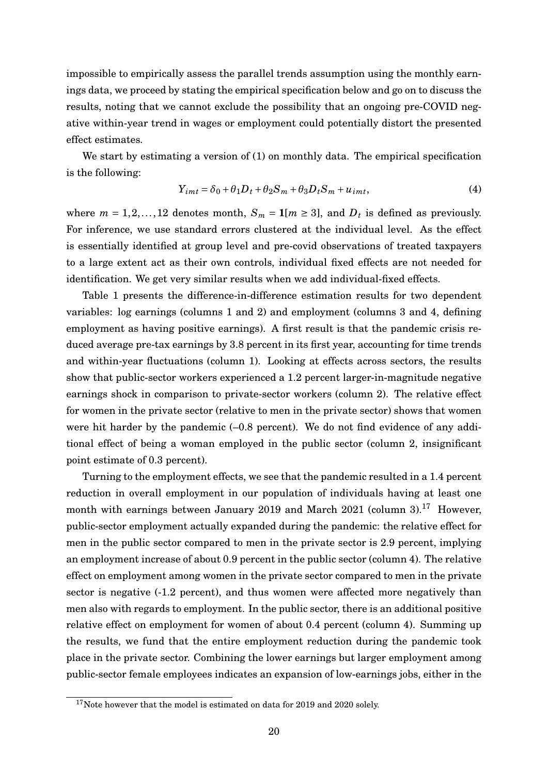impossible to empirically assess the parallel trends assumption using the monthly earnings data, we proceed by stating the empirical specification below and go on to discuss the results, noting that we cannot exclude the possibility that an ongoing pre-COVID negative within-year trend in wages or employment could potentially distort the presented effect estimates.

We start by estimating a version of [\(1\)](#page-19-1) on monthly data. The empirical specification is the following:

$$
Y_{imt} = \delta_0 + \theta_1 D_t + \theta_2 S_m + \theta_3 D_t S_m + u_{imt},
$$
\n(4)

where  $m = 1, 2, ..., 12$  denotes month,  $S_m = 1[m \ge 3]$ , and  $D_t$  is defined as previously. For inference, we use standard errors clustered at the individual level. As the effect is essentially identified at group level and pre-covid observations of treated taxpayers to a large extent act as their own controls, individual fixed effects are not needed for identification. We get very similar results when we add individual-fixed effects.

Table [1](#page-21-0) presents the difference-in-difference estimation results for two dependent variables: log earnings (columns 1 and 2) and employment (columns 3 and 4, defining employment as having positive earnings). A first result is that the pandemic crisis reduced average pre-tax earnings by 3.8 percent in its first year, accounting for time trends and within-year fluctuations (column 1). Looking at effects across sectors, the results show that public-sector workers experienced a 1.2 percent larger-in-magnitude negative earnings shock in comparison to private-sector workers (column 2). The relative effect for women in the private sector (relative to men in the private sector) shows that women were hit harder by the pandemic (–0.8 percent). We do not find evidence of any additional effect of being a woman employed in the public sector (column 2, insignificant point estimate of 0.3 percent).

Turning to the employment effects, we see that the pandemic resulted in a 1.4 percent reduction in overall employment in our population of individuals having at least one month with earnings between January 2019 and March 2021 (column 3).<sup>[17](#page-0-0)</sup> However, public-sector employment actually expanded during the pandemic: the relative effect for men in the public sector compared to men in the private sector is 2.9 percent, implying an employment increase of about 0.9 percent in the public sector (column 4). The relative effect on employment among women in the private sector compared to men in the private sector is negative (-1.2 percent), and thus women were affected more negatively than men also with regards to employment. In the public sector, there is an additional positive relative effect on employment for women of about 0.4 percent (column 4). Summing up the results, we fund that the entire employment reduction during the pandemic took place in the private sector. Combining the lower earnings but larger employment among public-sector female employees indicates an expansion of low-earnings jobs, either in the

 $17$ Note however that the model is estimated on data for 2019 and 2020 solely.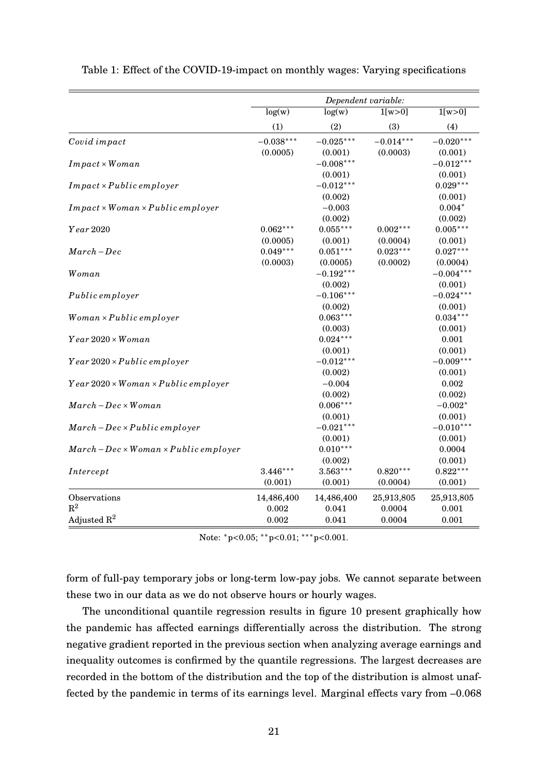|                                                      |             | Dependent variable: |             |             |
|------------------------------------------------------|-------------|---------------------|-------------|-------------|
|                                                      | log(w)      | log(w)              | 1[w>0]      | 1[w>0]      |
|                                                      | (1)         | (2)                 | (3)         | (4)         |
| Covid impact                                         | $-0.038***$ | $-0.025***$         | $-0.014***$ | $-0.020***$ |
|                                                      | (0.0005)    | (0.001)             | (0.0003)    | (0.001)     |
| $Im\,pat \times Woman$                               |             | $-0.008***$         |             | $-0.012***$ |
|                                                      |             | (0.001)             |             | (0.001)     |
| $Im\,pat \times Public\, employer$                   |             | $-0.012***$         |             | $0.029***$  |
|                                                      |             | (0.002)             |             | (0.001)     |
| $Im\,pat \times Woman \times Public\, employer$      |             | $-0.003$            |             | $0.004*$    |
|                                                      |             | (0.002)             |             | (0.002)     |
| Year 2020                                            | $0.062***$  | $0.055***$          | $0.002***$  | $0.005***$  |
|                                                      | (0.0005)    | (0.001)             | (0.0004)    | (0.001)     |
| $March - Dec$                                        | $0.049***$  | $0.051***$          | $0.023***$  | $0.027***$  |
|                                                      | (0.0003)    | (0.0005)            | (0.0002)    | (0.0004)    |
| Woman                                                |             | $-0.192***$         |             | $-0.004***$ |
|                                                      |             | (0.002)             |             | (0.001)     |
| Public employer                                      |             | $-0.106***$         |             | $-0.024***$ |
|                                                      |             | (0.002)             |             | (0.001)     |
| $Woman \times Public \, employer$                    |             | $0.063***$          |             | $0.034***$  |
|                                                      |             | (0.003)             |             | (0.001)     |
| $Year\,2020\times Woman$                             |             | $0.024***$          |             | 0.001       |
|                                                      |             | (0.001)             |             | (0.001)     |
| $Year\,2020\times Public\,employee$                  |             | $-0.012***$         |             | $-0.009***$ |
|                                                      |             | (0.002)             |             | (0.001)     |
| $Year\,2020\times Woman\times Public\,employee$      |             | $-0.004$            |             | 0.002       |
|                                                      |             | (0.002)             |             | (0.002)     |
| $March - Dec \times Woman$                           |             | $0.006***$          |             | $-0.002*$   |
|                                                      |             | (0.001)             |             | (0.001)     |
| $March - Dec \times Public \, employeer$             |             | $-0.021***$         |             | $-0.010***$ |
|                                                      |             | (0.001)             |             | (0.001)     |
| $March - Dec \times Woman \times Public \, employer$ |             | $0.010***$          |             | 0.0004      |
|                                                      |             | (0.002)             |             | (0.001)     |
| Intercept                                            | $3.446***$  | $3.563***$          | $0.820***$  | $0.822***$  |
|                                                      | (0.001)     | (0.001)             | (0.0004)    | (0.001)     |
| Observations                                         | 14,486,400  | 14,486,400          | 25,913,805  | 25,913,805  |
| $\mathbb{R}^2$                                       | 0.002       | 0.041               | 0.0004      | 0.001       |
| Adjusted $\mathbb{R}^2$                              | 0.002       | 0.041               | 0.0004      | 0.001       |

<span id="page-21-0"></span>

|  |  | Table 1: Effect of the COVID-19-impact on monthly wages: Varying specifications |
|--|--|---------------------------------------------------------------------------------|
|  |  |                                                                                 |

Note: \*p<0.05; \*\*p<0.01; \*\*\*p<0.001.

form of full-pay temporary jobs or long-term low-pay jobs. We cannot separate between these two in our data as we do not observe hours or hourly wages.

The unconditional quantile regression results in figure [10](#page-22-0) present graphically how the pandemic has affected earnings differentially across the distribution. The strong negative gradient reported in the previous section when analyzing average earnings and inequality outcomes is confirmed by the quantile regressions. The largest decreases are recorded in the bottom of the distribution and the top of the distribution is almost unaffected by the pandemic in terms of its earnings level. Marginal effects vary from –0.068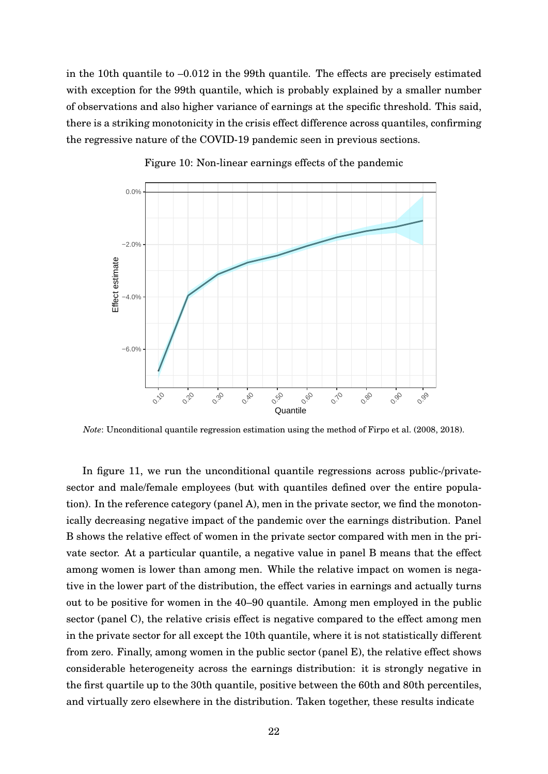in the 10th quantile to –0.012 in the 99th quantile. The effects are precisely estimated with exception for the 99th quantile, which is probably explained by a smaller number of observations and also higher variance of earnings at the specific threshold. This said, there is a striking monotonicity in the crisis effect difference across quantiles, confirming the regressive nature of the COVID-19 pandemic seen in previous sections.

<span id="page-22-0"></span>

Figure 10: Non-linear earnings effects of the pandemic

*Note*: Unconditional quantile regression estimation using the method of [Firpo et al.](#page-31-0) [\(2008,](#page-31-0) [2018\)](#page-31-8).

In figure [11,](#page-23-1) we run the unconditional quantile regressions across public-/privatesector and male/female employees (but with quantiles defined over the entire population). In the reference category (panel A), men in the private sector, we find the monotonically decreasing negative impact of the pandemic over the earnings distribution. Panel B shows the relative effect of women in the private sector compared with men in the private sector. At a particular quantile, a negative value in panel B means that the effect among women is lower than among men. While the relative impact on women is negative in the lower part of the distribution, the effect varies in earnings and actually turns out to be positive for women in the 40–90 quantile. Among men employed in the public sector (panel C), the relative crisis effect is negative compared to the effect among men in the private sector for all except the 10th quantile, where it is not statistically different from zero. Finally, among women in the public sector (panel E), the relative effect shows considerable heterogeneity across the earnings distribution: it is strongly negative in the first quartile up to the 30th quantile, positive between the 60th and 80th percentiles, and virtually zero elsewhere in the distribution. Taken together, these results indicate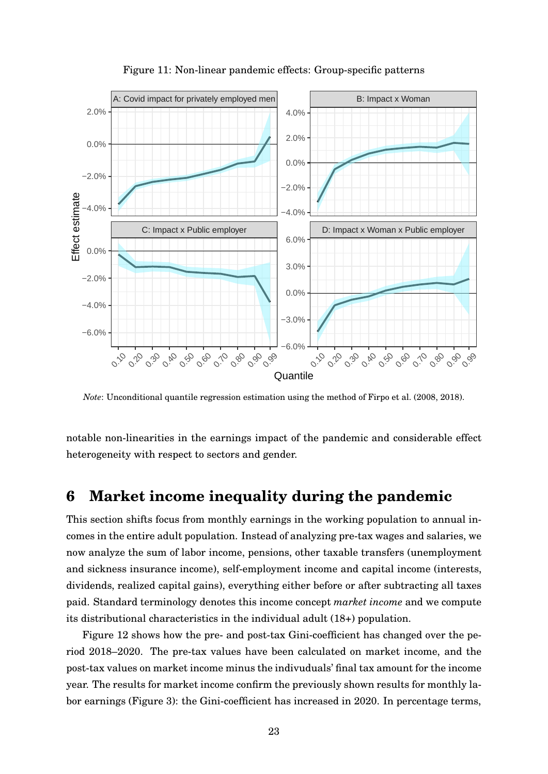<span id="page-23-1"></span>

Figure 11: Non-linear pandemic effects: Group-specific patterns

*Note*: Unconditional quantile regression estimation using the method of [Firpo et al.](#page-31-0) [\(2008,](#page-31-0) [2018\)](#page-31-8).

<span id="page-23-0"></span>notable non-linearities in the earnings impact of the pandemic and considerable effect heterogeneity with respect to sectors and gender.

## **6 Market income inequality during the pandemic**

This section shifts focus from monthly earnings in the working population to annual incomes in the entire adult population. Instead of analyzing pre-tax wages and salaries, we now analyze the sum of labor income, pensions, other taxable transfers (unemployment and sickness insurance income), self-employment income and capital income (interests, dividends, realized capital gains), everything either before or after subtracting all taxes paid. Standard terminology denotes this income concept *market income* and we compute its distributional characteristics in the individual adult (18+) population.

Figure [12](#page-24-0) shows how the pre- and post-tax Gini-coefficient has changed over the period 2018–2020. The pre-tax values have been calculated on market income, and the post-tax values on market income minus the indivuduals' final tax amount for the income year. The results for market income confirm the previously shown results for monthly labor earnings (Figure [3\)](#page-9-0): the Gini-coefficient has increased in 2020. In percentage terms,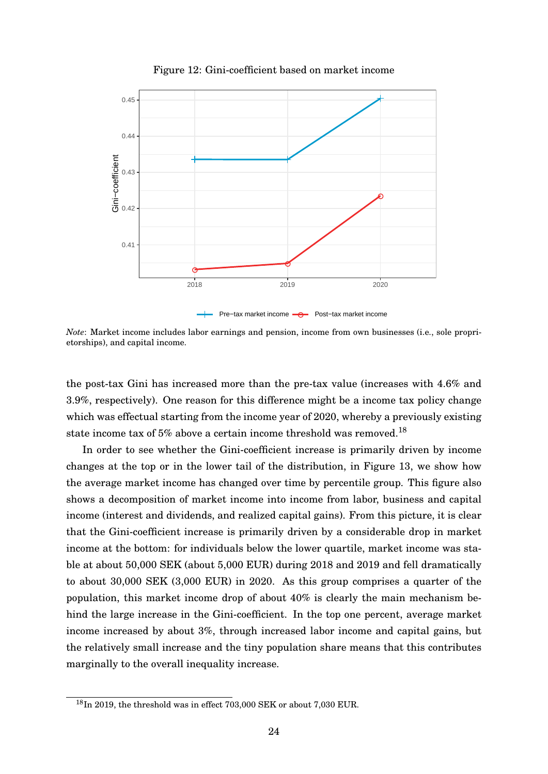<span id="page-24-0"></span>

Figure 12: Gini-coefficient based on market income

*Note*: Market income includes labor earnings and pension, income from own businesses (i.e., sole proprietorships), and capital income.

the post-tax Gini has increased more than the pre-tax value (increases with 4.6% and 3.9%, respectively). One reason for this difference might be a income tax policy change which was effectual starting from the income year of 2020, whereby a previously existing state income tax of 5% above a certain income threshold was removed.<sup>[18](#page-0-0)</sup>

In order to see whether the Gini-coefficient increase is primarily driven by income changes at the top or in the lower tail of the distribution, in Figure [13,](#page-25-0) we show how the average market income has changed over time by percentile group. This figure also shows a decomposition of market income into income from labor, business and capital income (interest and dividends, and realized capital gains). From this picture, it is clear that the Gini-coefficient increase is primarily driven by a considerable drop in market income at the bottom: for individuals below the lower quartile, market income was stable at about 50,000 SEK (about 5,000 EUR) during 2018 and 2019 and fell dramatically to about 30,000 SEK (3,000 EUR) in 2020. As this group comprises a quarter of the population, this market income drop of about 40% is clearly the main mechanism behind the large increase in the Gini-coefficient. In the top one percent, average market income increased by about 3%, through increased labor income and capital gains, but the relatively small increase and the tiny population share means that this contributes marginally to the overall inequality increase.

 $^{18}$ In 2019, the threshold was in effect 703,000 SEK or about 7,030 EUR.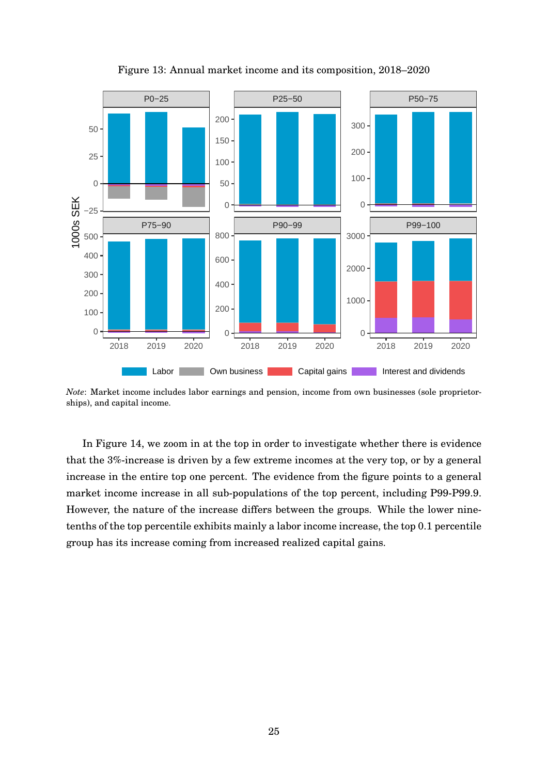<span id="page-25-0"></span>

Figure 13: Annual market income and its composition, 2018–2020

*Note*: Market income includes labor earnings and pension, income from own businesses (sole proprietorships), and capital income.

In Figure [14,](#page-26-0) we zoom in at the top in order to investigate whether there is evidence that the 3%-increase is driven by a few extreme incomes at the very top, or by a general increase in the entire top one percent. The evidence from the figure points to a general market income increase in all sub-populations of the top percent, including P99-P99.9. However, the nature of the increase differs between the groups. While the lower ninetenths of the top percentile exhibits mainly a labor income increase, the top 0.1 percentile group has its increase coming from increased realized capital gains.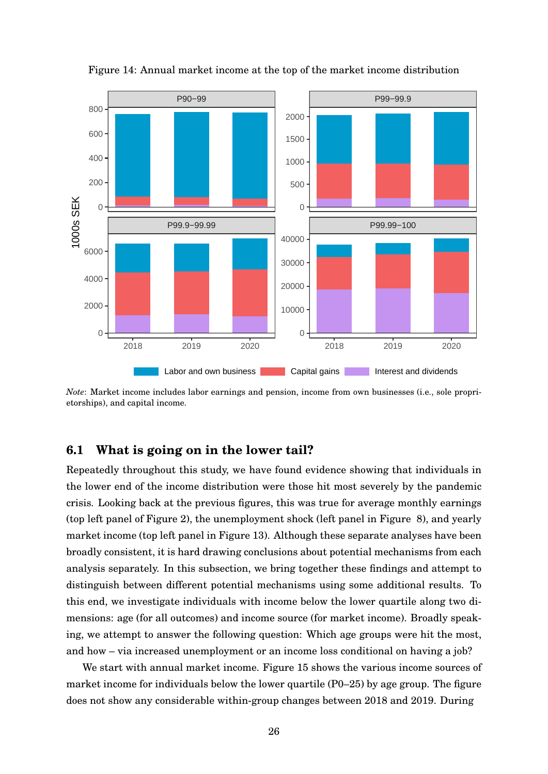<span id="page-26-0"></span>

Figure 14: Annual market income at the top of the market income distribution

*Note*: Market income includes labor earnings and pension, income from own businesses (i.e., sole proprietorships), and capital income.

### **6.1 What is going on in the lower tail?**

Repeatedly throughout this study, we have found evidence showing that individuals in the lower end of the income distribution were those hit most severely by the pandemic crisis. Looking back at the previous figures, this was true for average monthly earnings (top left panel of Figure [2\)](#page-8-0), the unemployment shock (left panel in Figure [8\)](#page-17-0), and yearly market income (top left panel in Figure [13\)](#page-25-0). Although these separate analyses have been broadly consistent, it is hard drawing conclusions about potential mechanisms from each analysis separately. In this subsection, we bring together these findings and attempt to distinguish between different potential mechanisms using some additional results. To this end, we investigate individuals with income below the lower quartile along two dimensions: age (for all outcomes) and income source (for market income). Broadly speaking, we attempt to answer the following question: Which age groups were hit the most, and how – via increased unemployment or an income loss conditional on having a job?

We start with annual market income. Figure [15](#page-27-0) shows the various income sources of market income for individuals below the lower quartile (P0–25) by age group. The figure does not show any considerable within-group changes between 2018 and 2019. During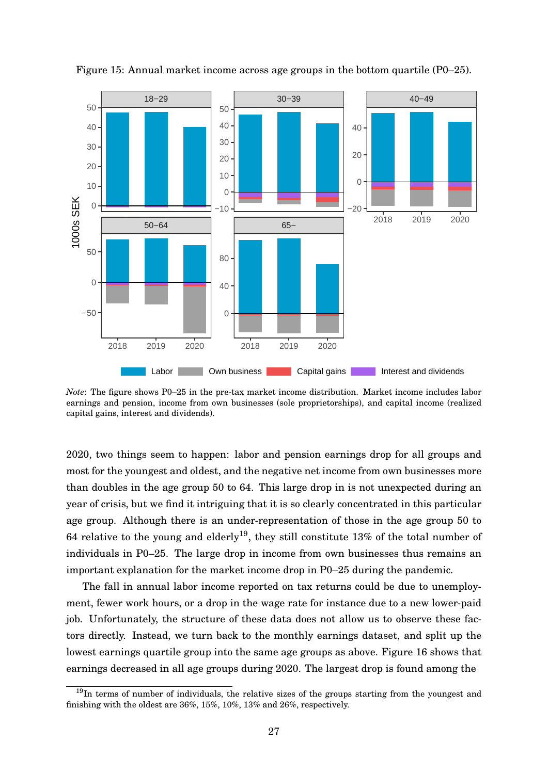

<span id="page-27-0"></span>Figure 15: Annual market income across age groups in the bottom quartile (P0–25).

*Note*: The figure shows P0–25 in the pre-tax market income distribution. Market income includes labor earnings and pension, income from own businesses (sole proprietorships), and capital income (realized capital gains, interest and dividends).

2020, two things seem to happen: labor and pension earnings drop for all groups and most for the youngest and oldest, and the negative net income from own businesses more than doubles in the age group 50 to 64. This large drop in is not unexpected during an year of crisis, but we find it intriguing that it is so clearly concentrated in this particular age group. Although there is an under-representation of those in the age group 50 to 64 relative to the young and elderly<sup>[19](#page-0-0)</sup>, they still constitute 13% of the total number of individuals in P0–25. The large drop in income from own businesses thus remains an important explanation for the market income drop in P0–25 during the pandemic.

The fall in annual labor income reported on tax returns could be due to unemployment, fewer work hours, or a drop in the wage rate for instance due to a new lower-paid job. Unfortunately, the structure of these data does not allow us to observe these factors directly. Instead, we turn back to the monthly earnings dataset, and split up the lowest earnings quartile group into the same age groups as above. Figure [16](#page-28-0) shows that earnings decreased in all age groups during 2020. The largest drop is found among the

 $19$ In terms of number of individuals, the relative sizes of the groups starting from the youngest and finishing with the oldest are 36%, 15%, 10%, 13% and 26%, respectively.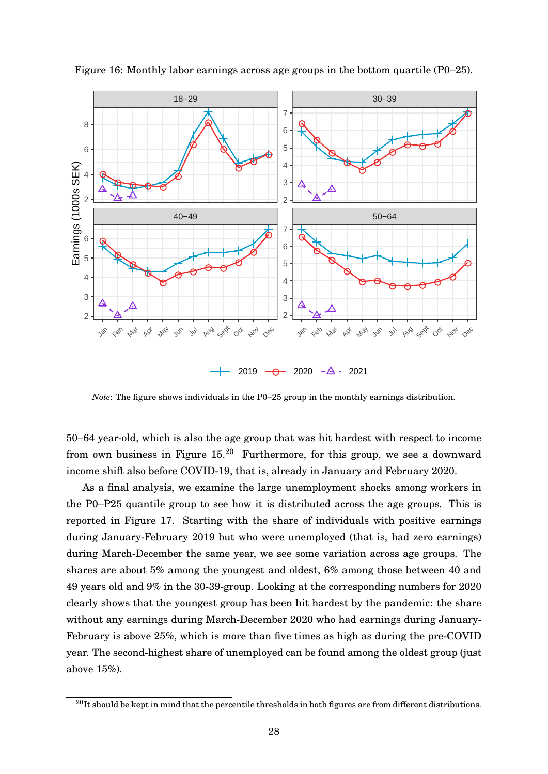

<span id="page-28-0"></span>Figure 16: Monthly labor earnings across age groups in the bottom quartile (P0–25).

*Note*: The figure shows individuals in the P0–25 group in the monthly earnings distribution.

50–64 year-old, which is also the age group that was hit hardest with respect to income from own business in Figure  $15^{20}$  $15^{20}$  $15^{20}$  Furthermore, for this group, we see a downward income shift also before COVID-19, that is, already in January and February 2020.

As a final analysis, we examine the large unemployment shocks among workers in the P0–P25 quantile group to see how it is distributed across the age groups. This is reported in Figure [17.](#page-29-0) Starting with the share of individuals with positive earnings during January-February 2019 but who were unemployed (that is, had zero earnings) during March-December the same year, we see some variation across age groups. The shares are about 5% among the youngest and oldest, 6% among those between 40 and 49 years old and 9% in the 30-39-group. Looking at the corresponding numbers for 2020 clearly shows that the youngest group has been hit hardest by the pandemic: the share without any earnings during March-December 2020 who had earnings during January-February is above 25%, which is more than five times as high as during the pre-COVID year. The second-highest share of unemployed can be found among the oldest group (just above 15%).

 $^{20}$ It should be kept in mind that the percentile thresholds in both figures are from different distributions.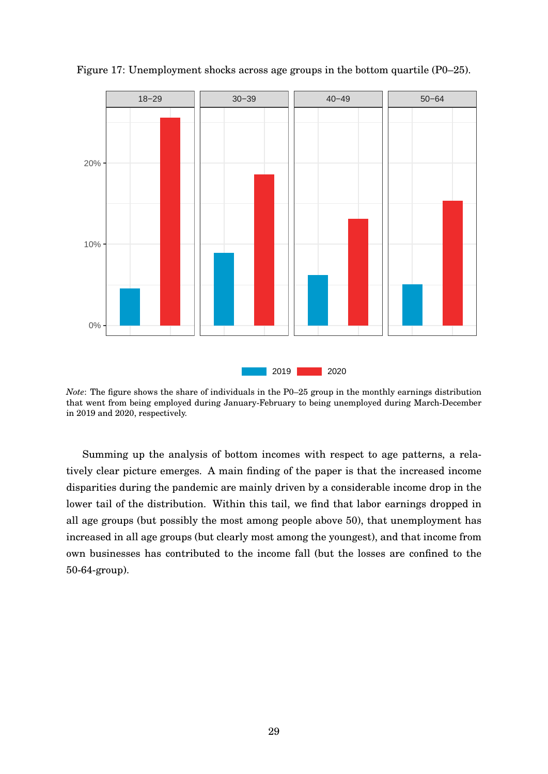

<span id="page-29-0"></span>

*Note*: The figure shows the share of individuals in the P0–25 group in the monthly earnings distribution that went from being employed during January-February to being unemployed during March-December in 2019 and 2020, respectively.

Summing up the analysis of bottom incomes with respect to age patterns, a relatively clear picture emerges. A main finding of the paper is that the increased income disparities during the pandemic are mainly driven by a considerable income drop in the lower tail of the distribution. Within this tail, we find that labor earnings dropped in all age groups (but possibly the most among people above 50), that unemployment has increased in all age groups (but clearly most among the youngest), and that income from own businesses has contributed to the income fall (but the losses are confined to the 50-64-group).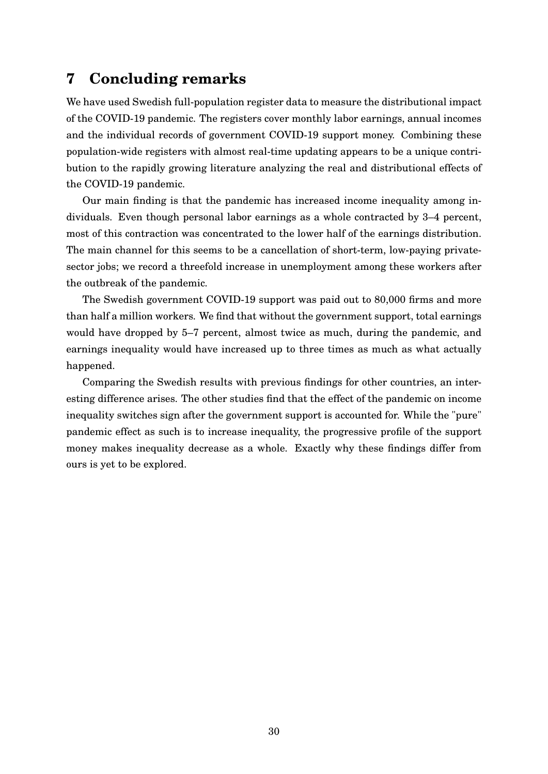## <span id="page-30-0"></span>**7 Concluding remarks**

We have used Swedish full-population register data to measure the distributional impact of the COVID-19 pandemic. The registers cover monthly labor earnings, annual incomes and the individual records of government COVID-19 support money. Combining these population-wide registers with almost real-time updating appears to be a unique contribution to the rapidly growing literature analyzing the real and distributional effects of the COVID-19 pandemic.

Our main finding is that the pandemic has increased income inequality among individuals. Even though personal labor earnings as a whole contracted by 3–4 percent, most of this contraction was concentrated to the lower half of the earnings distribution. The main channel for this seems to be a cancellation of short-term, low-paying privatesector jobs; we record a threefold increase in unemployment among these workers after the outbreak of the pandemic.

The Swedish government COVID-19 support was paid out to 80,000 firms and more than half a million workers. We find that without the government support, total earnings would have dropped by 5–7 percent, almost twice as much, during the pandemic, and earnings inequality would have increased up to three times as much as what actually happened.

Comparing the Swedish results with previous findings for other countries, an interesting difference arises. The other studies find that the effect of the pandemic on income inequality switches sign after the government support is accounted for. While the "pure" pandemic effect as such is to increase inequality, the progressive profile of the support money makes inequality decrease as a whole. Exactly why these findings differ from ours is yet to be explored.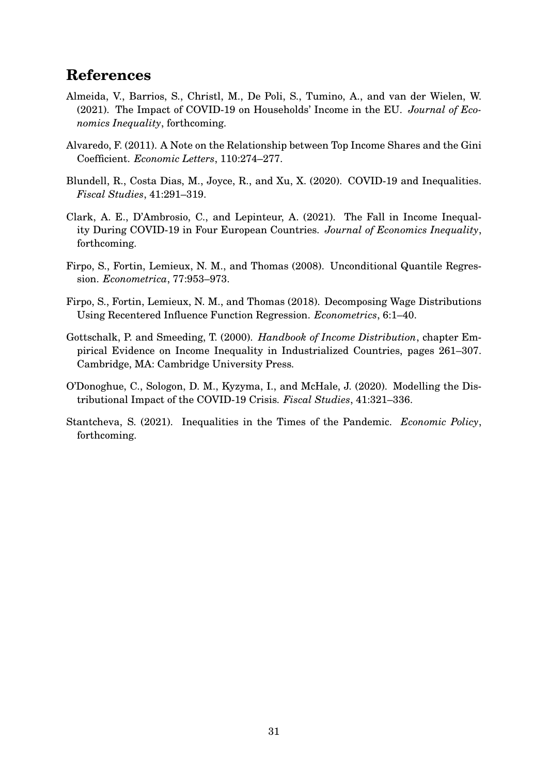## **References**

- <span id="page-31-3"></span>Almeida, V., Barrios, S., Christl, M., De Poli, S., Tumino, A., and van der Wielen, W. (2021). The Impact of COVID-19 on Households' Income in the EU. *Journal of Economics Inequality*, forthcoming.
- <span id="page-31-7"></span>Alvaredo, F. (2011). A Note on the Relationship between Top Income Shares and the Gini Coefficient. *Economic Letters*, 110:274–277.
- <span id="page-31-1"></span>Blundell, R., Costa Dias, M., Joyce, R., and Xu, X. (2020). COVID-19 and Inequalities. *Fiscal Studies*, 41:291–319.
- <span id="page-31-4"></span>Clark, A. E., D'Ambrosio, C., and Lepinteur, A. (2021). The Fall in Income Inequality During COVID-19 in Four European Countries. *Journal of Economics Inequality*, forthcoming.
- <span id="page-31-0"></span>Firpo, S., Fortin, Lemieux, N. M., and Thomas (2008). Unconditional Quantile Regression. *Econometrica*, 77:953–973.
- <span id="page-31-8"></span>Firpo, S., Fortin, Lemieux, N. M., and Thomas (2018). Decomposing Wage Distributions Using Recentered Influence Function Regression. *Econometrics*, 6:1–40.
- <span id="page-31-6"></span>Gottschalk, P. and Smeeding, T. (2000). *Handbook of Income Distribution*, chapter Empirical Evidence on Income Inequality in Industrialized Countries, pages 261–307. Cambridge, MA: Cambridge University Press.
- <span id="page-31-2"></span>O'Donoghue, C., Sologon, D. M., Kyzyma, I., and McHale, J. (2020). Modelling the Distributional Impact of the COVID-19 Crisis. *Fiscal Studies*, 41:321–336.
- <span id="page-31-5"></span>Stantcheva, S. (2021). Inequalities in the Times of the Pandemic. *Economic Policy*, forthcoming.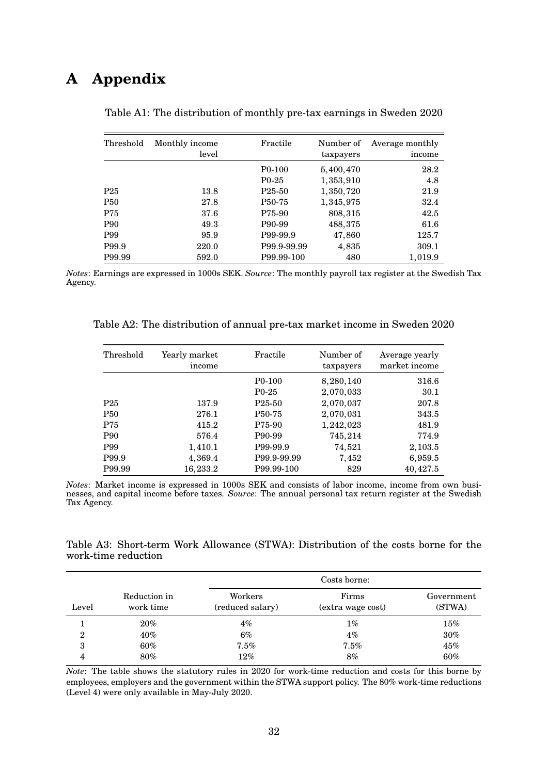# <span id="page-32-0"></span>**A Appendix**

| Threshold       | Monthly income<br>level | Fractile                        | Number of<br>taxpayers | Average monthly<br>income |
|-----------------|-------------------------|---------------------------------|------------------------|---------------------------|
|                 |                         | P <sub>0</sub> -10 <sub>0</sub> | 5,400,470              | 28.2                      |
|                 |                         | $P0-25$                         | 1,353,910              | 4.8                       |
| P <sub>25</sub> | 13.8                    | P <sub>25</sub> -50             | 1,350,720              | 21.9                      |
| <b>P50</b>      | 27.8                    | P <sub>50</sub> -75             | 1,345,975              | 32.4                      |
| P75             | 37.6                    | P75-90                          | 808,315                | 42.5                      |
| <b>P90</b>      | 49.3                    | P <sub>90</sub> -99             | 488,375                | 61.6                      |
| P99             | 95.9                    | P99-99.9                        | 47,860                 | 125.7                     |
| P99.9           | 220.0                   | P99.9-99.99                     | 4,835                  | 309.1                     |
| P99.99          | 592.0                   | P99.99-100                      | 480                    | 1,019.9                   |

| Table A1: The distribution of monthly pre-tax earnings in Sweden 2020 |  |  |  |
|-----------------------------------------------------------------------|--|--|--|
|                                                                       |  |  |  |

*Notes*: Earnings are expressed in 1000s SEK. *Source*: The monthly payroll tax register at the Swedish Tax Agency.

<span id="page-32-1"></span>

| Threshold       | Yearly market<br>income | Fractile                        | Number of<br>taxpayers | Average yearly<br>market income |
|-----------------|-------------------------|---------------------------------|------------------------|---------------------------------|
|                 |                         | P <sub>0</sub> -10 <sub>0</sub> | 8,280,140              | 316.6                           |
|                 |                         | $P0-25$                         | 2,070,033              | 30.1                            |
| P <sub>25</sub> | 137.9                   | P <sub>25</sub> -50             | 2,070,037              | 207.8                           |
| <b>P50</b>      | 276.1                   | P <sub>50</sub> -75             | 2,070,031              | 343.5                           |
| P75             | 415.2                   | P75-90                          | 1,242,023              | 481.9                           |
| <b>P90</b>      | 576.4                   | P90-99                          | 745,214                | 774.9                           |
| P99             | 1,410.1                 | P99-99.9                        | 74,521                 | 2, 103.5                        |
| P99.9           | 4,369.4                 | P99.9-99.99                     | 7,452                  | 6,959.5                         |
| P99.99          | 16,233.2                | P99.99-100                      | 829                    | 40,427.5                        |

*Notes*: Market income is expressed in 1000s SEK and consists of labor income, income from own businesses, and capital income before taxes. *Source*: The annual personal tax return register at the Swedish Tax Agency.

<span id="page-32-2"></span>Table A3: Short-term Work Allowance (STWA): Distribution of the costs borne for the work-time reduction

|                  |                           |                             | Costs borne:               |                      |  |
|------------------|---------------------------|-----------------------------|----------------------------|----------------------|--|
| Level            | Reduction in<br>work time | Workers<br>(reduced salary) | Firms<br>(extra wage cost) | Government<br>(STWA) |  |
|                  | $20\%$                    | $4\%$                       | $1\%$                      | $15\%$               |  |
| $\boldsymbol{2}$ | $40\%$                    | $6\%$                       | $4\%$                      | 30%                  |  |
| 3                | $60\%$                    | 7.5%                        | 7.5%                       | 45%                  |  |
| 4                | $80\%$                    | 12%                         | 8%                         | 60%                  |  |

*Note*: The table shows the statutory rules in 2020 for work-time reduction and costs for this borne by employees, employers and the government within the STWA support policy. The 80% work-time reductions (Level 4) were only available in May-July 2020.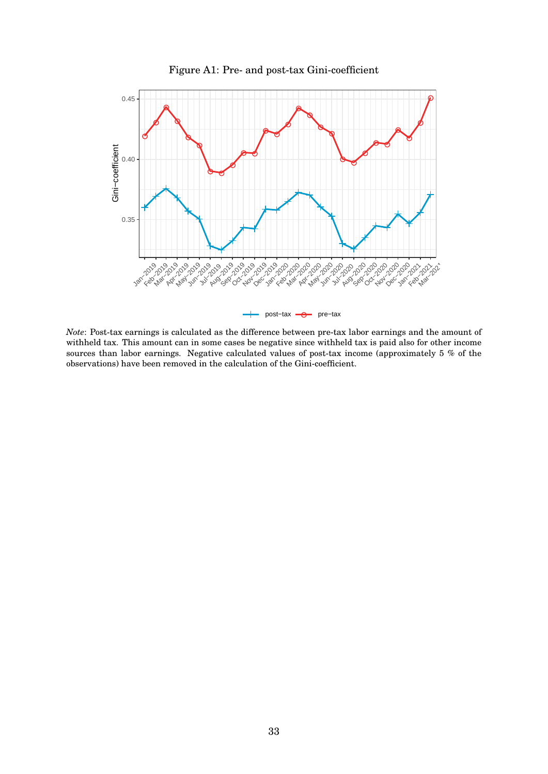

Figure A1: Pre- and post-tax Gini-coefficient

*Note*: Post-tax earnings is calculated as the difference between pre-tax labor earnings and the amount of withheld tax. This amount can in some cases be negative since withheld tax is paid also for other income sources than labor earnings. Negative calculated values of post-tax income (approximately 5 % of the observations) have been removed in the calculation of the Gini-coefficient.